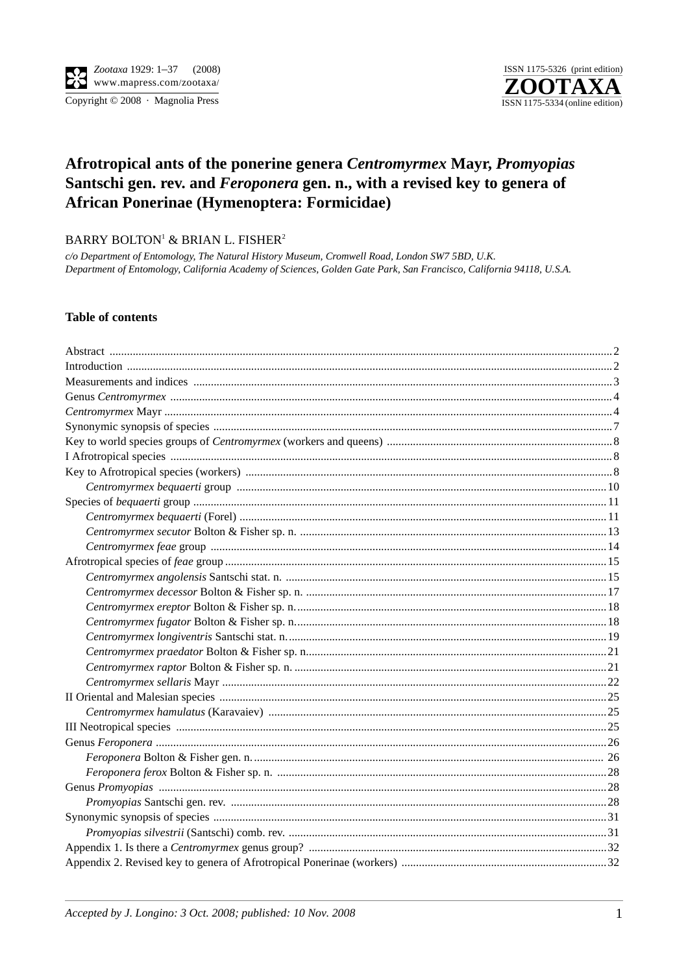

# Afrotropical ants of the ponerine genera Centromyrmex Mayr, Promyopias Santschi gen. rev. and Feroponera gen. n., with a revised key to genera of African Ponerinae (Hymenoptera: Formicidae)

BARRY BOLTON<sup>1</sup> & BRIAN L. FISHER<sup>2</sup>

c/o Department of Entomology, The Natural History Museum, Cromwell Road, London SW7 5BD, U.K. Department of Entomology, California Academy of Sciences, Golden Gate Park, San Francisco, California 94118, U.S.A.

#### **Table of contents**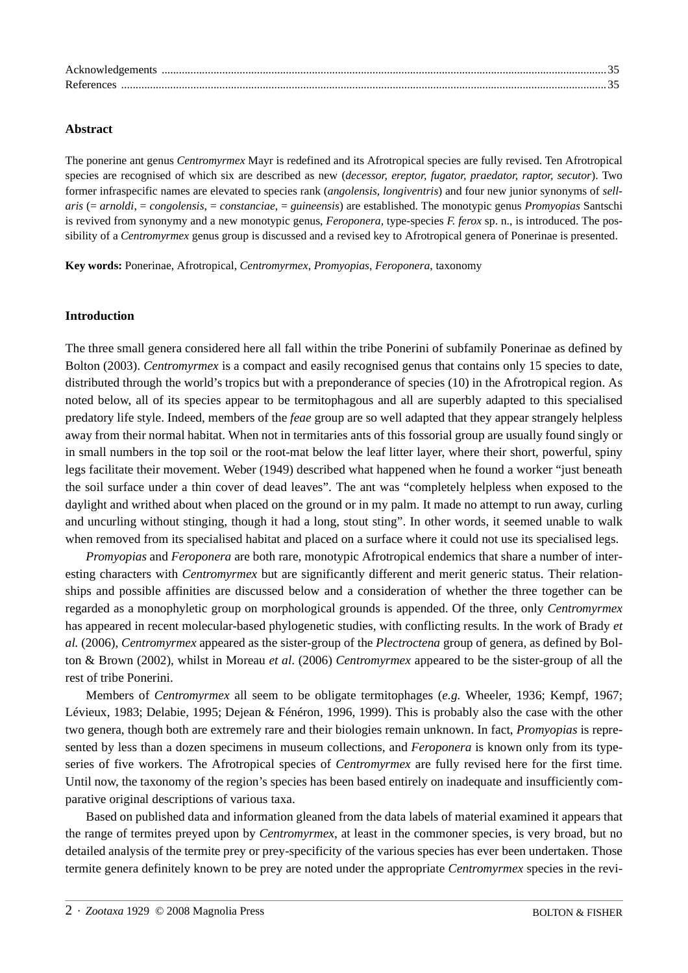| Acknowledgements |  |
|------------------|--|
| References       |  |

#### **Abstract**

The ponerine ant genus *Centromyrmex* Mayr is redefined and its Afrotropical species are fully revised. Ten Afrotropical species are recognised of which six are described as new (*decessor, ereptor, fugator, praedator, raptor, secutor*). Two former infraspecific names are elevated to species rank (*angolensis, longiventris*) and four new junior synonyms of *sellaris* (= *arnoldi*, = *congolensis*, = *constanciae*, = *guineensis*) are established. The monotypic genus *Promyopias* Santschi is revived from synonymy and a new monotypic genus, *Feroponera,* type-species *F. ferox* sp. n., is introduced. The possibility of a *Centromyrmex* genus group is discussed and a revised key to Afrotropical genera of Ponerinae is presented.

**Key words:** Ponerinae, Afrotropical, *Centromyrmex*, *Promyopias*, *Feroponera*, taxonomy

#### **Introduction**

The three small genera considered here all fall within the tribe Ponerini of subfamily Ponerinae as defined by Bolton (2003). *Centromyrmex* is a compact and easily recognised genus that contains only 15 species to date, distributed through the world's tropics but with a preponderance of species (10) in the Afrotropical region. As noted below, all of its species appear to be termitophagous and all are superbly adapted to this specialised predatory life style. Indeed, members of the *feae* group are so well adapted that they appear strangely helpless away from their normal habitat. When not in termitaries ants of this fossorial group are usually found singly or in small numbers in the top soil or the root-mat below the leaf litter layer, where their short, powerful, spiny legs facilitate their movement. Weber (1949) described what happened when he found a worker "just beneath the soil surface under a thin cover of dead leaves". The ant was "completely helpless when exposed to the daylight and writhed about when placed on the ground or in my palm. It made no attempt to run away, curling and uncurling without stinging, though it had a long, stout sting". In other words, it seemed unable to walk when removed from its specialised habitat and placed on a surface where it could not use its specialised legs.

*Promyopias* and *Feroponera* are both rare, monotypic Afrotropical endemics that share a number of interesting characters with *Centromyrmex* but are significantly different and merit generic status. Their relationships and possible affinities are discussed below and a consideration of whether the three together can be regarded as a monophyletic group on morphological grounds is appended. Of the three, only *Centromyrmex* has appeared in recent molecular-based phylogenetic studies, with conflicting results. In the work of Brady *et al.* (2006), *Centromyrmex* appeared as the sister-group of the *Plectroctena* group of genera, as defined by Bolton & Brown (2002), whilst in Moreau *et al*. (2006) *Centromyrmex* appeared to be the sister-group of all the rest of tribe Ponerini.

Members of *Centromyrmex* all seem to be obligate termitophages (*e.g.* Wheeler, 1936; Kempf, 1967; Lévieux, 1983; Delabie, 1995; Dejean & Fénéron, 1996, 1999). This is probably also the case with the other two genera, though both are extremely rare and their biologies remain unknown. In fact, *Promyopias* is represented by less than a dozen specimens in museum collections, and *Feroponera* is known only from its typeseries of five workers. The Afrotropical species of *Centromyrmex* are fully revised here for the first time. Until now, the taxonomy of the region's species has been based entirely on inadequate and insufficiently comparative original descriptions of various taxa.

Based on published data and information gleaned from the data labels of material examined it appears that the range of termites preyed upon by *Centromyrmex*, at least in the commoner species, is very broad, but no detailed analysis of the termite prey or prey-specificity of the various species has ever been undertaken. Those termite genera definitely known to be prey are noted under the appropriate *Centromyrmex* species in the revi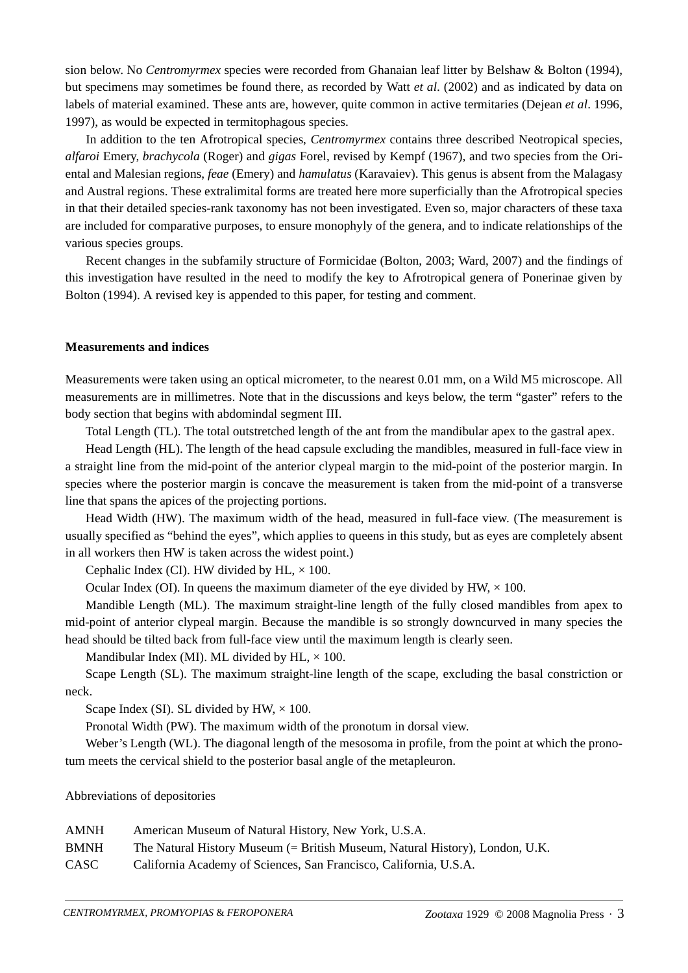sion below. No *Centromyrmex* species were recorded from Ghanaian leaf litter by Belshaw & Bolton (1994), but specimens may sometimes be found there, as recorded by Watt *et al*. (2002) and as indicated by data on labels of material examined. These ants are, however, quite common in active termitaries (Dejean *et al*. 1996, 1997), as would be expected in termitophagous species.

In addition to the ten Afrotropical species, *Centromyrmex* contains three described Neotropical species, *alfaroi* Emery, *brachycola* (Roger) and *gigas* Forel, revised by Kempf (1967), and two species from the Oriental and Malesian regions, *feae* (Emery) and *hamulatus* (Karavaiev). This genus is absent from the Malagasy and Austral regions. These extralimital forms are treated here more superficially than the Afrotropical species in that their detailed species-rank taxonomy has not been investigated. Even so, major characters of these taxa are included for comparative purposes, to ensure monophyly of the genera, and to indicate relationships of the various species groups.

Recent changes in the subfamily structure of Formicidae (Bolton, 2003; Ward, 2007) and the findings of this investigation have resulted in the need to modify the key to Afrotropical genera of Ponerinae given by Bolton (1994). A revised key is appended to this paper, for testing and comment.

#### **Measurements and indices**

Measurements were taken using an optical micrometer, to the nearest 0.01 mm, on a Wild M5 microscope. All measurements are in millimetres. Note that in the discussions and keys below, the term "gaster" refers to the body section that begins with abdomindal segment III.

Total Length (TL). The total outstretched length of the ant from the mandibular apex to the gastral apex.

Head Length (HL). The length of the head capsule excluding the mandibles, measured in full-face view in a straight line from the mid-point of the anterior clypeal margin to the mid-point of the posterior margin. In species where the posterior margin is concave the measurement is taken from the mid-point of a transverse line that spans the apices of the projecting portions.

Head Width (HW). The maximum width of the head, measured in full-face view. (The measurement is usually specified as "behind the eyes", which applies to queens in this study, but as eyes are completely absent in all workers then HW is taken across the widest point.)

Cephalic Index (CI). HW divided by HL,  $\times$  100.

Ocular Index (OI). In queens the maximum diameter of the eye divided by  $HW \times 100$ .

Mandible Length (ML). The maximum straight-line length of the fully closed mandibles from apex to mid-point of anterior clypeal margin. Because the mandible is so strongly downcurved in many species the head should be tilted back from full-face view until the maximum length is clearly seen.

Mandibular Index (MI). ML divided by HL,  $\times$  100.

Scape Length (SL). The maximum straight-line length of the scape, excluding the basal constriction or neck.

Scape Index (SI). SL divided by HW,  $\times$  100.

Pronotal Width (PW). The maximum width of the pronotum in dorsal view.

Weber's Length (WL). The diagonal length of the mesosoma in profile, from the point at which the pronotum meets the cervical shield to the posterior basal angle of the metapleuron.

Abbreviations of depositories

| AMNH        | American Museum of Natural History, New York, U.S.A.                         |
|-------------|------------------------------------------------------------------------------|
| <b>BMNH</b> | The Natural History Museum (= British Museum, Natural History), London, U.K. |
| CASC        | California Academy of Sciences, San Francisco, California, U.S.A.            |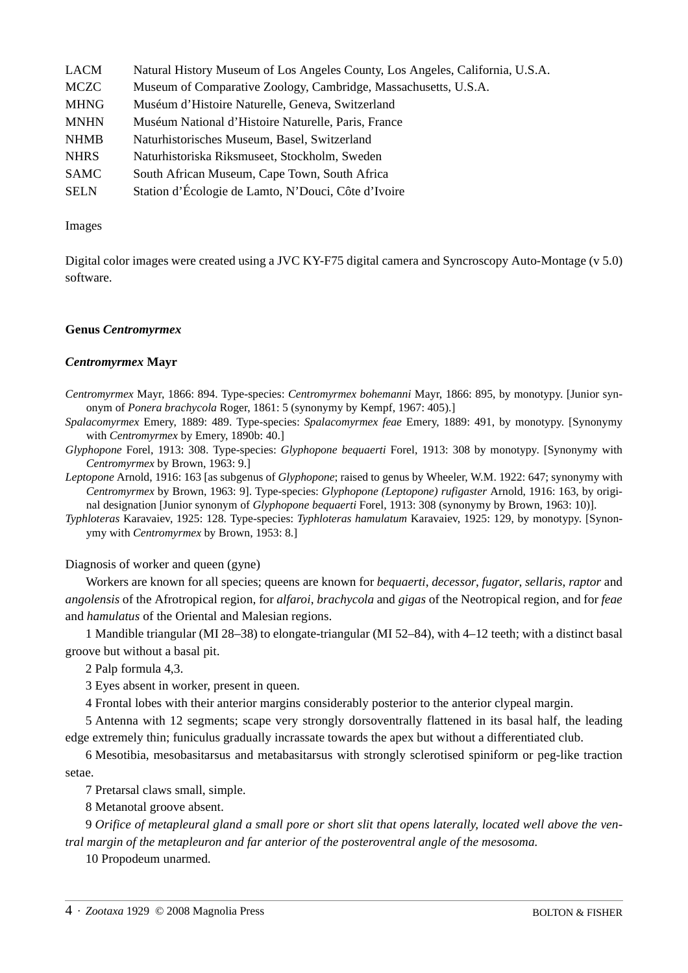| <b>LACM</b> | Natural History Museum of Los Angeles County, Los Angeles, California, U.S.A. |
|-------------|-------------------------------------------------------------------------------|
| <b>MCZC</b> | Museum of Comparative Zoology, Cambridge, Massachusetts, U.S.A.               |
| <b>MHNG</b> | Muséum d'Histoire Naturelle, Geneva, Switzerland                              |
| <b>MNHN</b> | Muséum National d'Histoire Naturelle, Paris, France                           |
| <b>NHMB</b> | Naturhistorisches Museum, Basel, Switzerland                                  |
| <b>NHRS</b> | Naturhistoriska Riksmuseet, Stockholm, Sweden                                 |
| <b>SAMC</b> | South African Museum, Cape Town, South Africa                                 |
| <b>SELN</b> | Station d'Écologie de Lamto, N'Douci, Côte d'Ivoire                           |

#### Images

Digital color images were created using a JVC KY-F75 digital camera and Syncroscopy Auto-Montage (v 5.0) software.

#### **Genus** *Centromyrmex*

#### *Centromyrmex* **Mayr**

*Centromyrmex* Mayr, 1866: 894. Type-species: *Centromyrmex bohemanni* Mayr, 1866: 895, by monotypy. [Junior synonym of *Ponera brachycola* Roger, 1861: 5 (synonymy by Kempf, 1967: 405).]

*Spalacomyrmex* Emery, 1889: 489. Type-species: *Spalacomyrmex feae* Emery, 1889: 491, by monotypy. [Synonymy with *Centromyrmex* by Emery, 1890b: 40.]

*Glyphopone* Forel, 1913: 308. Type-species: *Glyphopone bequaerti* Forel, 1913: 308 by monotypy. [Synonymy with *Centromyrmex* by Brown, 1963: 9.]

*Leptopone* Arnold, 1916: 163 [as subgenus of *Glyphopone*; raised to genus by Wheeler, W.M. 1922: 647; synonymy with *Centromyrmex* by Brown, 1963: 9]. Type-species: *Glyphopone (Leptopone) rufigaster* Arnold, 1916: 163, by original designation [Junior synonym of *Glyphopone bequaerti* Forel, 1913: 308 (synonymy by Brown, 1963: 10)].

*Typhloteras* Karavaiev, 1925: 128. Type-species: *Typhloteras hamulatum* Karavaiev, 1925: 129, by monotypy. [Synonymy with *Centromyrmex* by Brown, 1953: 8.]

Diagnosis of worker and queen (gyne)

Workers are known for all species; queens are known for *bequaerti*, *decessor*, *fugator*, *sellaris*, *raptor* and *angolensis* of the Afrotropical region, for *alfaroi*, *brachycola* and *gigas* of the Neotropical region, and for *feae* and *hamulatus* of the Oriental and Malesian regions.

1 Mandible triangular (MI 28–38) to elongate-triangular (MI 52–84), with 4–12 teeth; with a distinct basal groove but without a basal pit.

2 Palp formula 4,3.

3 Eyes absent in worker, present in queen.

4 Frontal lobes with their anterior margins considerably posterior to the anterior clypeal margin.

5 Antenna with 12 segments; scape very strongly dorsoventrally flattened in its basal half, the leading edge extremely thin; funiculus gradually incrassate towards the apex but without a differentiated club.

6 Mesotibia, mesobasitarsus and metabasitarsus with strongly sclerotised spiniform or peg-like traction setae.

7 Pretarsal claws small, simple.

8 Metanotal groove absent.

9 *Orifice of metapleural gland a small pore or short slit that opens laterally, located well above the ventral margin of the metapleuron and far anterior of the posteroventral angle of the mesosoma.* 

10 Propodeum unarmed.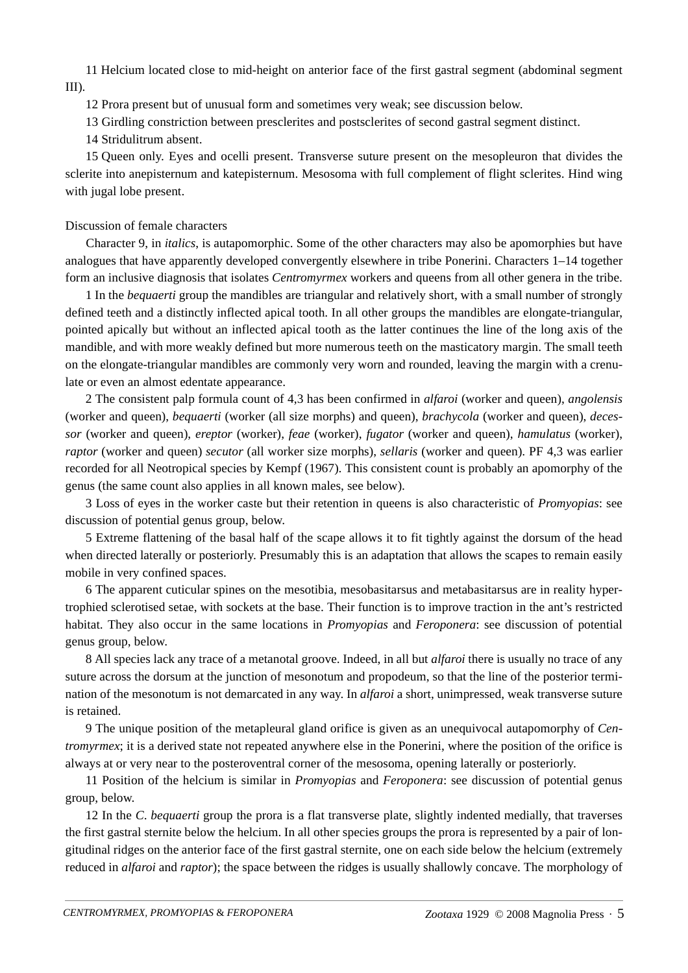11 Helcium located close to mid-height on anterior face of the first gastral segment (abdominal segment III).

12 Prora present but of unusual form and sometimes very weak; see discussion below.

13 Girdling constriction between presclerites and postsclerites of second gastral segment distinct.

14 Stridulitrum absent.

15 Queen only. Eyes and ocelli present. Transverse suture present on the mesopleuron that divides the sclerite into anepisternum and katepisternum. Mesosoma with full complement of flight sclerites. Hind wing with jugal lobe present.

## Discussion of female characters

Character 9, in *italics*, is autapomorphic. Some of the other characters may also be apomorphies but have analogues that have apparently developed convergently elsewhere in tribe Ponerini. Characters 1–14 together form an inclusive diagnosis that isolates *Centromyrmex* workers and queens from all other genera in the tribe.

1 In the *bequaerti* group the mandibles are triangular and relatively short, with a small number of strongly defined teeth and a distinctly inflected apical tooth. In all other groups the mandibles are elongate-triangular, pointed apically but without an inflected apical tooth as the latter continues the line of the long axis of the mandible, and with more weakly defined but more numerous teeth on the masticatory margin. The small teeth on the elongate-triangular mandibles are commonly very worn and rounded, leaving the margin with a crenulate or even an almost edentate appearance.

2 The consistent palp formula count of 4,3 has been confirmed in *alfaroi* (worker and queen), *angolensis* (worker and queen), *bequaerti* (worker (all size morphs) and queen), *brachycola* (worker and queen), *decessor* (worker and queen), *ereptor* (worker), *feae* (worker), *fugator* (worker and queen), *hamulatus* (worker), *raptor* (worker and queen) *secutor* (all worker size morphs), *sellaris* (worker and queen). PF 4,3 was earlier recorded for all Neotropical species by Kempf (1967). This consistent count is probably an apomorphy of the genus (the same count also applies in all known males, see below).

3 Loss of eyes in the worker caste but their retention in queens is also characteristic of *Promyopias*: see discussion of potential genus group, below.

5 Extreme flattening of the basal half of the scape allows it to fit tightly against the dorsum of the head when directed laterally or posteriorly. Presumably this is an adaptation that allows the scapes to remain easily mobile in very confined spaces.

6 The apparent cuticular spines on the mesotibia, mesobasitarsus and metabasitarsus are in reality hypertrophied sclerotised setae, with sockets at the base. Their function is to improve traction in the ant's restricted habitat. They also occur in the same locations in *Promyopias* and *Feroponera*: see discussion of potential genus group, below.

8 All species lack any trace of a metanotal groove. Indeed, in all but *alfaroi* there is usually no trace of any suture across the dorsum at the junction of mesonotum and propodeum, so that the line of the posterior termination of the mesonotum is not demarcated in any way. In *alfaroi* a short, unimpressed, weak transverse suture is retained.

9 The unique position of the metapleural gland orifice is given as an unequivocal autapomorphy of *Centromyrmex*; it is a derived state not repeated anywhere else in the Ponerini, where the position of the orifice is always at or very near to the posteroventral corner of the mesosoma, opening laterally or posteriorly.

11 Position of the helcium is similar in *Promyopias* and *Feroponera*: see discussion of potential genus group, below.

12 In the *C*. *bequaerti* group the prora is a flat transverse plate, slightly indented medially, that traverses the first gastral sternite below the helcium. In all other species groups the prora is represented by a pair of longitudinal ridges on the anterior face of the first gastral sternite, one on each side below the helcium (extremely reduced in *alfaroi* and *raptor*); the space between the ridges is usually shallowly concave. The morphology of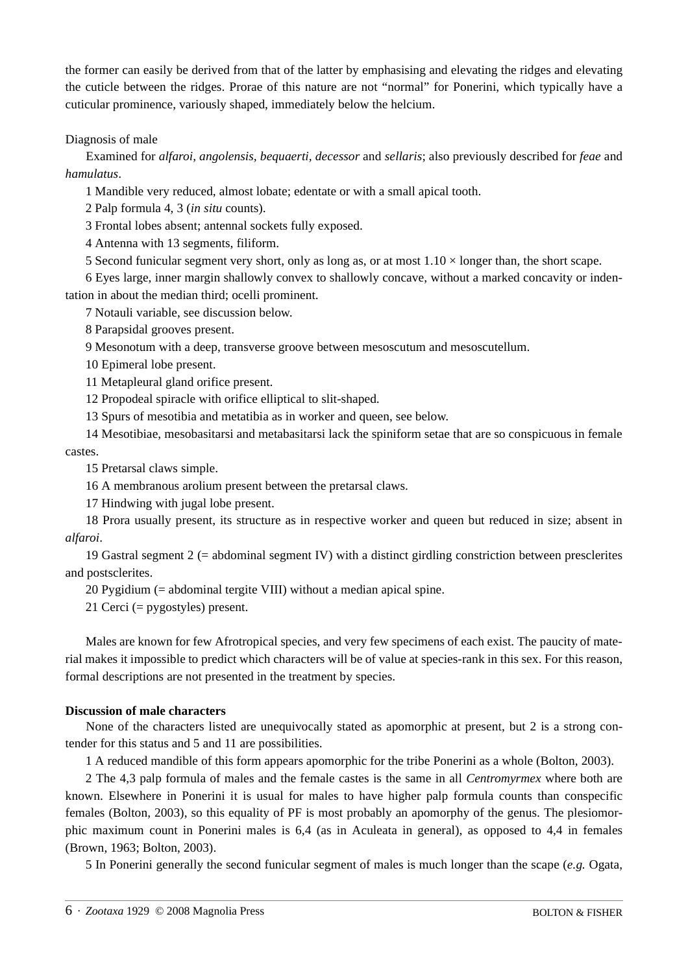the former can easily be derived from that of the latter by emphasising and elevating the ridges and elevating the cuticle between the ridges. Prorae of this nature are not "normal" for Ponerini, which typically have a cuticular prominence, variously shaped, immediately below the helcium.

Diagnosis of male

Examined for *alfaroi*, *angolensis, bequaerti, decessor* and *sellaris*; also previously described for *feae* and *hamulatus*.

1 Mandible very reduced, almost lobate; edentate or with a small apical tooth.

2 Palp formula 4, 3 (*in situ* counts).

3 Frontal lobes absent; antennal sockets fully exposed.

4 Antenna with 13 segments, filiform.

5 Second funicular segment very short, only as long as, or at most  $1.10 \times$  longer than, the short scape.

6 Eyes large, inner margin shallowly convex to shallowly concave, without a marked concavity or indentation in about the median third; ocelli prominent.

7 Notauli variable, see discussion below.

8 Parapsidal grooves present.

9 Mesonotum with a deep, transverse groove between mesoscutum and mesoscutellum.

10 Epimeral lobe present.

11 Metapleural gland orifice present.

12 Propodeal spiracle with orifice elliptical to slit-shaped.

13 Spurs of mesotibia and metatibia as in worker and queen, see below.

14 Mesotibiae, mesobasitarsi and metabasitarsi lack the spiniform setae that are so conspicuous in female castes.

15 Pretarsal claws simple.

16 A membranous arolium present between the pretarsal claws.

17 Hindwing with jugal lobe present.

18 Prora usually present, its structure as in respective worker and queen but reduced in size; absent in *alfaroi*.

19 Gastral segment 2 (= abdominal segment IV) with a distinct girdling constriction between presclerites and postsclerites.

20 Pygidium (= abdominal tergite VIII) without a median apical spine.

21 Cerci (= pygostyles) present.

Males are known for few Afrotropical species, and very few specimens of each exist. The paucity of material makes it impossible to predict which characters will be of value at species-rank in this sex. For this reason, formal descriptions are not presented in the treatment by species.

### **Discussion of male characters**

None of the characters listed are unequivocally stated as apomorphic at present, but 2 is a strong contender for this status and 5 and 11 are possibilities.

1 A reduced mandible of this form appears apomorphic for the tribe Ponerini as a whole (Bolton, 2003).

2 The 4,3 palp formula of males and the female castes is the same in all *Centromyrmex* where both are known. Elsewhere in Ponerini it is usual for males to have higher palp formula counts than conspecific females (Bolton, 2003), so this equality of PF is most probably an apomorphy of the genus. The plesiomorphic maximum count in Ponerini males is 6,4 (as in Aculeata in general), as opposed to 4,4 in females (Brown, 1963; Bolton, 2003).

5 In Ponerini generally the second funicular segment of males is much longer than the scape (*e.g.* Ogata,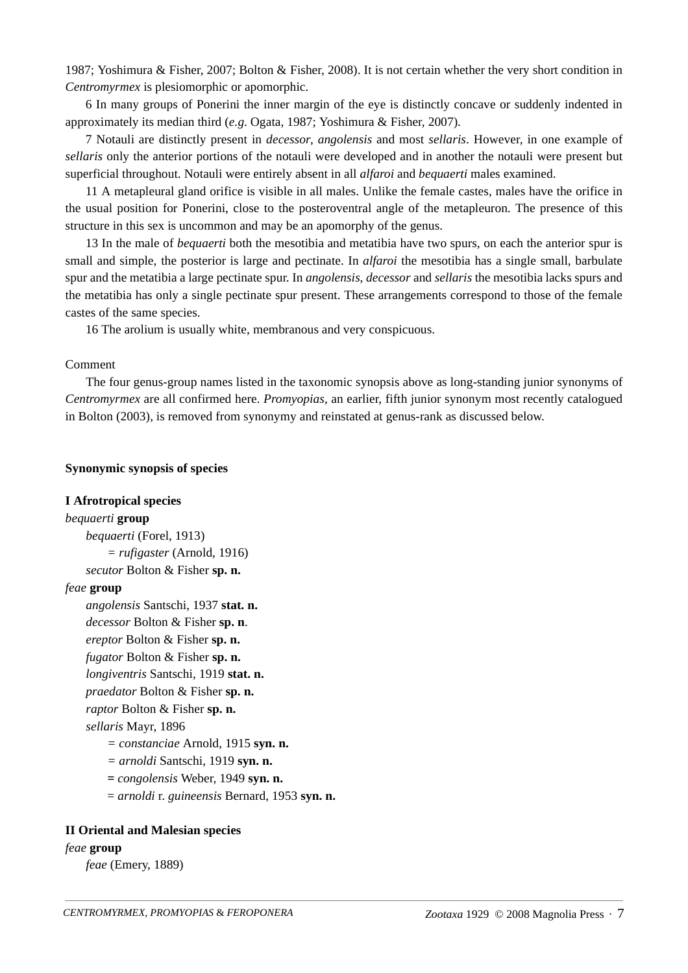1987; Yoshimura & Fisher, 2007; Bolton & Fisher, 2008). It is not certain whether the very short condition in *Centromyrmex* is plesiomorphic or apomorphic.

6 In many groups of Ponerini the inner margin of the eye is distinctly concave or suddenly indented in approximately its median third (*e.g*. Ogata, 1987; Yoshimura & Fisher, 2007).

7 Notauli are distinctly present in *decessor*, *angolensis* and most *sellaris*. However, in one example of *sellaris* only the anterior portions of the notauli were developed and in another the notauli were present but superficial throughout. Notauli were entirely absent in all *alfaroi* and *bequaerti* males examined.

11 A metapleural gland orifice is visible in all males. Unlike the female castes, males have the orifice in the usual position for Ponerini, close to the posteroventral angle of the metapleuron. The presence of this structure in this sex is uncommon and may be an apomorphy of the genus.

13 In the male of *bequaerti* both the mesotibia and metatibia have two spurs, on each the anterior spur is small and simple, the posterior is large and pectinate. In *alfaroi* the mesotibia has a single small, barbulate spur and the metatibia a large pectinate spur. In *angolensis*, *decessor* and *sellaris* the mesotibia lacks spurs and the metatibia has only a single pectinate spur present. These arrangements correspond to those of the female castes of the same species.

16 The arolium is usually white, membranous and very conspicuous.

#### Comment

The four genus-group names listed in the taxonomic synopsis above as long-standing junior synonyms of *Centromyrmex* are all confirmed here. *Promyopias*, an earlier, fifth junior synonym most recently catalogued in Bolton (2003), is removed from synonymy and reinstated at genus-rank as discussed below.

#### **Synonymic synopsis of species**

### **I Afrotropical species**

*bequaerti* **group** *bequaerti* (Forel, 1913) *= rufigaster* (Arnold, 1916) *secutor* Bolton & Fisher **sp. n.**

#### *feae* **group**

*angolensis* Santschi, 1937 **stat. n.** *decessor* Bolton & Fisher **sp. n**. *ereptor* Bolton & Fisher **sp. n.** *fugator* Bolton & Fisher **sp. n.** *longiventris* Santschi, 1919 **stat. n.**  *praedator* Bolton & Fisher **sp. n.** *raptor* Bolton & Fisher **sp. n.**  *sellaris* Mayr, 1896

*= constanciae* Arnold, 1915 **syn. n.**

- *= arnoldi* Santschi, 1919 **syn. n.**
- *= congolensis* Weber, 1949 **syn. n.**
- = *arnoldi* r. *guineensis* Bernard, 1953 **syn. n.**

#### **II Oriental and Malesian species**

## *feae* **group**

*feae* (Emery, 1889)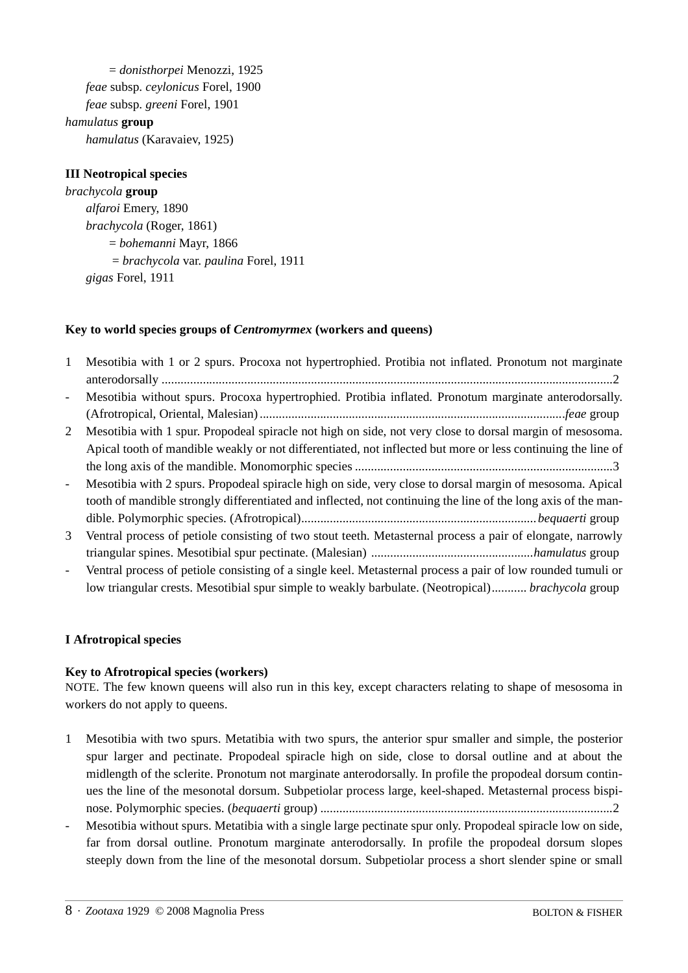= *donisthorpei* Menozzi, 1925 *feae* subsp. *ceylonicus* Forel, 1900 *feae* subsp. *greeni* Forel, 1901 *hamulatus* **group** *hamulatus* (Karavaiev, 1925)

## **III Neotropical species**

*brachycola* **group** *alfaroi* Emery, 1890 *brachycola* (Roger, 1861) = *bohemanni* Mayr, 1866 = *brachycola* var. *paulina* Forel, 1911 *gigas* Forel, 1911

### **Key to world species groups of** *Centromyrmex* **(workers and queens)**

| $\mathbf{1}$             | Mesotibia with 1 or 2 spurs. Procoxa not hypertrophied. Protibia not inflated. Pronotum not marginate         |
|--------------------------|---------------------------------------------------------------------------------------------------------------|
| $\overline{a}$           | Mesotibia without spurs. Procoxa hypertrophied. Protibia inflated. Pronotum marginate anterodorsally.         |
|                          |                                                                                                               |
| 2                        | Mesotibia with 1 spur. Propodeal spiracle not high on side, not very close to dorsal margin of mesosoma.      |
|                          | Apical tooth of mandible weakly or not differentiated, not inflected but more or less continuing the line of  |
|                          |                                                                                                               |
| $\overline{a}$           | Mesotibia with 2 spurs. Propodeal spiracle high on side, very close to dorsal margin of mesosoma. Apical      |
|                          | tooth of mandible strongly differentiated and inflected, not continuing the line of the long axis of the man- |
|                          |                                                                                                               |
| 3                        | Ventral process of petiole consisting of two stout teeth. Metasternal process a pair of elongate, narrowly    |
|                          |                                                                                                               |
| $\overline{\phantom{a}}$ | Ventral process of petiole consisting of a single keel. Metasternal process a pair of low rounded tumuli or   |
|                          | low triangular crests. Mesotibial spur simple to weakly barbulate. (Neotropical) brachycola group             |
|                          |                                                                                                               |

### **I Afrotropical species**

#### **Key to Afrotropical species (workers)**

NOTE. The few known queens will also run in this key, except characters relating to shape of mesosoma in workers do not apply to queens.

- 1 Mesotibia with two spurs. Metatibia with two spurs, the anterior spur smaller and simple, the posterior spur larger and pectinate. Propodeal spiracle high on side, close to dorsal outline and at about the midlength of the sclerite. Pronotum not marginate anterodorsally. In profile the propodeal dorsum continues the line of the mesonotal dorsum. Subpetiolar process large, keel-shaped. Metasternal process bispinose. Polymorphic species. (*bequaerti* group) ............................................................................................2
- Mesotibia without spurs. Metatibia with a single large pectinate spur only. Propodeal spiracle low on side, far from dorsal outline. Pronotum marginate anterodorsally. In profile the propodeal dorsum slopes steeply down from the line of the mesonotal dorsum. Subpetiolar process a short slender spine or small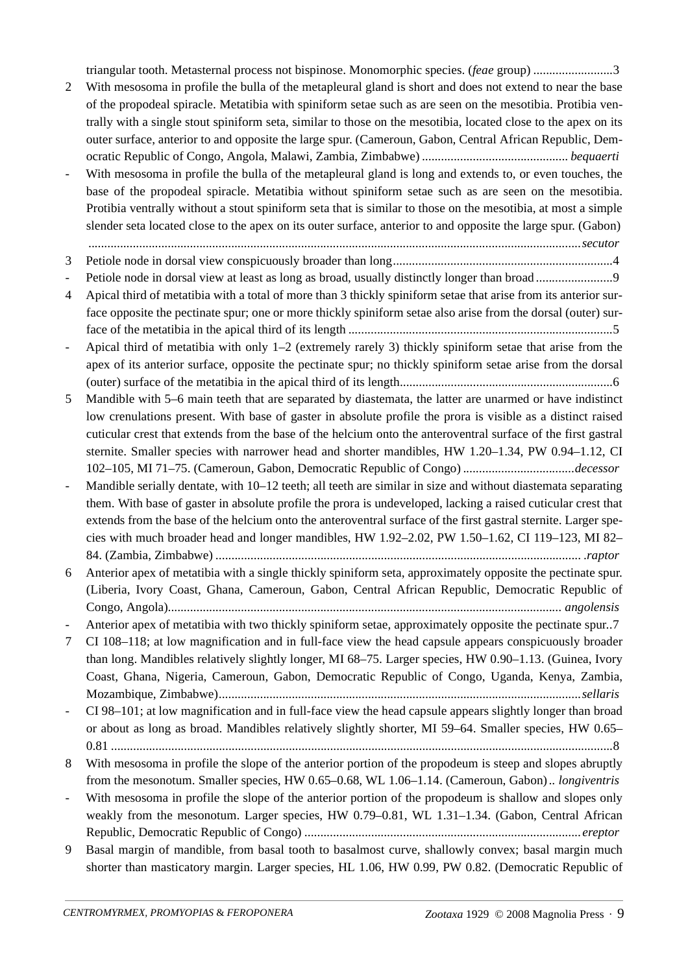triangular tooth. Metasternal process not bispinose. Monomorphic species. (*feae* group) .........................3

2 With mesosoma in profile the bulla of the metapleural gland is short and does not extend to near the base of the propodeal spiracle. Metatibia with spiniform setae such as are seen on the mesotibia. Protibia ventrally with a single stout spiniform seta, similar to those on the mesotibia, located close to the apex on its outer surface, anterior to and opposite the large spur. (Cameroun, Gabon, Central African Republic, Democratic Republic of Congo, Angola, Malawi, Zambia, Zimbabwe) *.............................................. bequaerti* 

With mesosoma in profile the bulla of the metapleural gland is long and extends to, or even touches, the base of the propodeal spiracle. Metatibia without spiniform setae such as are seen on the mesotibia. Protibia ventrally without a stout spiniform seta that is similar to those on the mesotibia, at most a simple slender seta located close to the apex on its outer surface, anterior to and opposite the large spur. (Gabon)

*...........................................................................................................................................................secutor*

3 Petiole node in dorsal view conspicuously broader than long.....................................................................4

- Petiole node in dorsal view at least as long as broad, usually distinctly longer than broad ........................9

- 4 Apical third of metatibia with a total of more than 3 thickly spiniform setae that arise from its anterior surface opposite the pectinate spur; one or more thickly spiniform setae also arise from the dorsal (outer) surface of the metatibia in the apical third of its length ...................................................................................5
- Apical third of metatibia with only 1–2 (extremely rarely 3) thickly spiniform setae that arise from the apex of its anterior surface, opposite the pectinate spur; no thickly spiniform setae arise from the dorsal (outer) surface of the metatibia in the apical third of its length...................................................................6
- 5 Mandible with 5–6 main teeth that are separated by diastemata, the latter are unarmed or have indistinct low crenulations present. With base of gaster in absolute profile the prora is visible as a distinct raised cuticular crest that extends from the base of the helcium onto the anteroventral surface of the first gastral sternite. Smaller species with narrower head and shorter mandibles, HW 1.20–1.34, PW 0.94–1.12, CI 102–105, MI 71–75. (Cameroun, Gabon, Democratic Republic of Congo) *...................................decessor*
- Mandible serially dentate, with 10–12 teeth; all teeth are similar in size and without diastemata separating them. With base of gaster in absolute profile the prora is undeveloped, lacking a raised cuticular crest that extends from the base of the helcium onto the anteroventral surface of the first gastral sternite. Larger species with much broader head and longer mandibles, HW 1.92–2.02, PW 1.50–1.62, CI 119–123, MI 82– 84. (Zambia, Zimbabwe) ................................................................................................................... .*raptor*
- 6 Anterior apex of metatibia with a single thickly spiniform seta, approximately opposite the pectinate spur. (Liberia, Ivory Coast, Ghana, Cameroun, Gabon, Central African Republic, Democratic Republic of Congo, Angola)*............................................................................................................................ angolensis*
- Anterior apex of metatibia with two thickly spiniform setae, approximately opposite the pectinate spur..7
- 7 CI 108–118; at low magnification and in full-face view the head capsule appears conspicuously broader than long. Mandibles relatively slightly longer, MI 68–75. Larger species, HW 0.90–1.13. (Guinea, Ivory Coast, Ghana, Nigeria, Cameroun, Gabon, Democratic Republic of Congo, Uganda, Kenya, Zambia, Mozambique, Zimbabwe)*..................................................................................................................sellaris*

- CI 98–101; at low magnification and in full-face view the head capsule appears slightly longer than broad or about as long as broad. Mandibles relatively slightly shorter, MI 59–64. Smaller species, HW 0.65– 0.81 ..............................................................................................................................................................8

- 8 With mesosoma in profile the slope of the anterior portion of the propodeum is steep and slopes abruptly from the mesonotum. Smaller species, HW 0.65–0.68, WL 1.06–1.14. (Cameroun, Gabon)*.. longiventris*
- With mesosoma in profile the slope of the anterior portion of the propodeum is shallow and slopes only weakly from the mesonotum. Larger species, HW 0.79–0.81, WL 1.31–1.34. (Gabon, Central African Republic, Democratic Republic of Congo) *.......................................................................................ereptor*
- 9 Basal margin of mandible, from basal tooth to basalmost curve, shallowly convex; basal margin much shorter than masticatory margin. Larger species, HL 1.06, HW 0.99, PW 0.82. (Democratic Republic of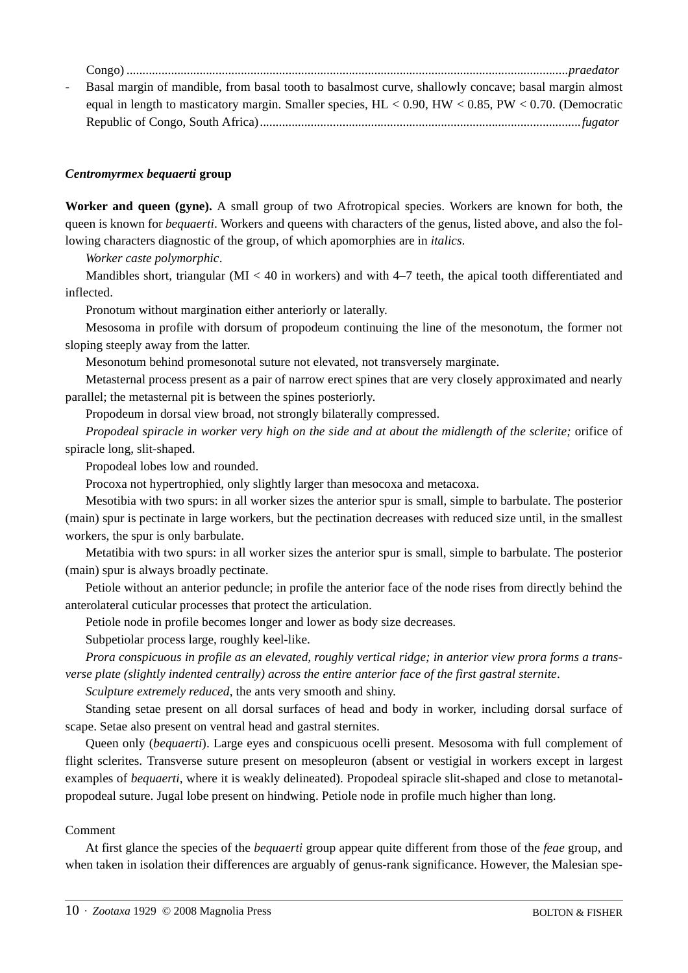| Basal margin of mandible, from basal tooth to basalmost curve, shallowly concave; basal margin almost         |
|---------------------------------------------------------------------------------------------------------------|
| equal in length to masticatory margin. Smaller species, $HL < 0.90$ , $HW < 0.85$ , $PW < 0.70$ . (Democratic |
|                                                                                                               |

#### *Centromyrmex bequaerti* **group**

**Worker and queen (gyne).** A small group of two Afrotropical species. Workers are known for both, the queen is known for *bequaerti*. Workers and queens with characters of the genus, listed above, and also the following characters diagnostic of the group, of which apomorphies are in *italics*.

*Worker caste polymorphic*.

Mandibles short, triangular (MI < 40 in workers) and with 4–7 teeth, the apical tooth differentiated and inflected.

Pronotum without margination either anteriorly or laterally.

Mesosoma in profile with dorsum of propodeum continuing the line of the mesonotum, the former not sloping steeply away from the latter.

Mesonotum behind promesonotal suture not elevated, not transversely marginate.

Metasternal process present as a pair of narrow erect spines that are very closely approximated and nearly parallel; the metasternal pit is between the spines posteriorly.

Propodeum in dorsal view broad, not strongly bilaterally compressed.

*Propodeal spiracle in worker very high on the side and at about the midlength of the sclerite;* orifice of spiracle long, slit-shaped.

Propodeal lobes low and rounded.

Procoxa not hypertrophied, only slightly larger than mesocoxa and metacoxa.

Mesotibia with two spurs: in all worker sizes the anterior spur is small, simple to barbulate. The posterior (main) spur is pectinate in large workers, but the pectination decreases with reduced size until, in the smallest workers, the spur is only barbulate.

Metatibia with two spurs: in all worker sizes the anterior spur is small, simple to barbulate. The posterior (main) spur is always broadly pectinate.

Petiole without an anterior peduncle; in profile the anterior face of the node rises from directly behind the anterolateral cuticular processes that protect the articulation.

Petiole node in profile becomes longer and lower as body size decreases.

Subpetiolar process large, roughly keel-like.

*Prora conspicuous in profile as an elevated, roughly vertical ridge; in anterior view prora forms a transverse plate (slightly indented centrally) across the entire anterior face of the first gastral sternite*.

*Sculpture extremely reduced*, the ants very smooth and shiny.

Standing setae present on all dorsal surfaces of head and body in worker, including dorsal surface of scape. Setae also present on ventral head and gastral sternites.

Queen only (*bequaerti*). Large eyes and conspicuous ocelli present. Mesosoma with full complement of flight sclerites. Transverse suture present on mesopleuron (absent or vestigial in workers except in largest examples of *bequaerti*, where it is weakly delineated). Propodeal spiracle slit-shaped and close to metanotalpropodeal suture. Jugal lobe present on hindwing. Petiole node in profile much higher than long.

#### Comment

At first glance the species of the *bequaerti* group appear quite different from those of the *feae* group, and when taken in isolation their differences are arguably of genus-rank significance. However, the Malesian spe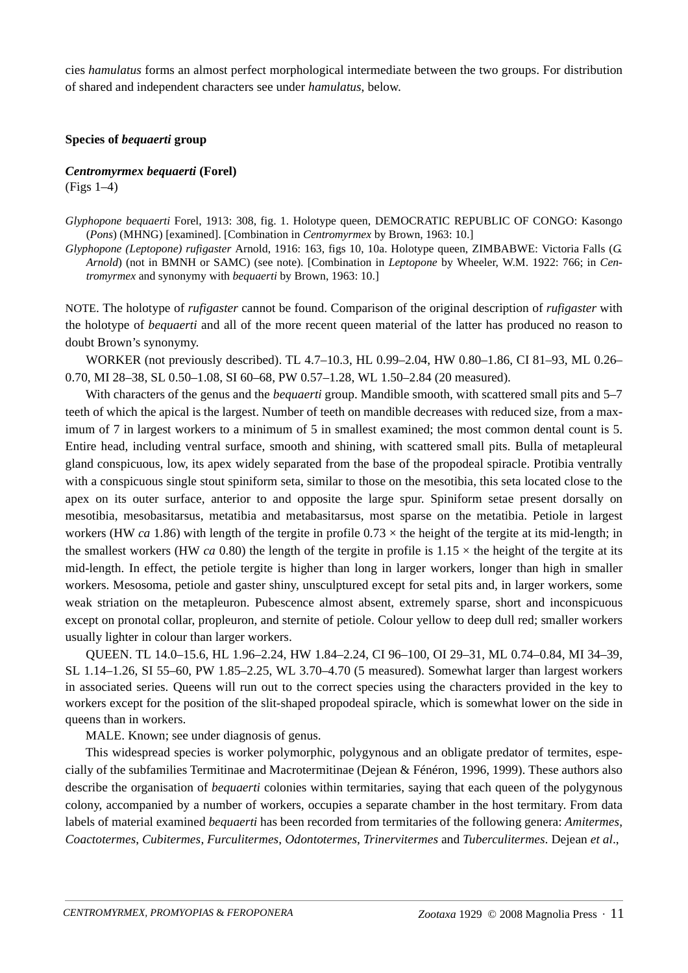cies *hamulatus* forms an almost perfect morphological intermediate between the two groups. For distribution of shared and independent characters see under *hamulatus*, below.

#### **Species of** *bequaerti* **group**

#### *Centromyrmex bequaerti* **(Forel)** (Figs 1–4)

*Glyphopone bequaerti* Forel, 1913: 308, fig. 1. Holotype queen, DEMOCRATIC REPUBLIC OF CONGO: Kasongo (*Pons*) (MHNG) [examined]. [Combination in *Centromyrmex* by Brown, 1963: 10.]

*Glyphopone (Leptopone) rufigaster* Arnold, 1916: 163, figs 10, 10a. Holotype queen, ZIMBABWE: Victoria Falls (*G. Arnold*) (not in BMNH or SAMC) (see note). [Combination in *Leptopone* by Wheeler, W.M. 1922: 766; in *Centromyrmex* and synonymy with *bequaerti* by Brown, 1963: 10.]

NOTE. The holotype of *rufigaster* cannot be found. Comparison of the original description of *rufigaster* with the holotype of *bequaerti* and all of the more recent queen material of the latter has produced no reason to doubt Brown's synonymy.

WORKER (not previously described). TL 4.7–10.3, HL 0.99–2.04, HW 0.80–1.86, CI 81–93, ML 0.26– 0.70, MI 28–38, SL 0.50–1.08, SI 60–68, PW 0.57–1.28, WL 1.50–2.84 (20 measured).

With characters of the genus and the *bequaerti* group. Mandible smooth, with scattered small pits and 5–7 teeth of which the apical is the largest. Number of teeth on mandible decreases with reduced size, from a maximum of 7 in largest workers to a minimum of 5 in smallest examined; the most common dental count is 5. Entire head, including ventral surface, smooth and shining, with scattered small pits. Bulla of metapleural gland conspicuous, low, its apex widely separated from the base of the propodeal spiracle. Protibia ventrally with a conspicuous single stout spiniform seta, similar to those on the mesotibia, this seta located close to the apex on its outer surface, anterior to and opposite the large spur. Spiniform setae present dorsally on mesotibia, mesobasitarsus, metatibia and metabasitarsus, most sparse on the metatibia. Petiole in largest workers (HW *ca* 1.86) with length of the tergite in profile  $0.73 \times$  the height of the tergite at its mid-length; in the smallest workers (HW *ca* 0.80) the length of the tergite in profile is  $1.15 \times$  the height of the tergite at its mid-length. In effect, the petiole tergite is higher than long in larger workers, longer than high in smaller workers. Mesosoma, petiole and gaster shiny, unsculptured except for setal pits and, in larger workers, some weak striation on the metapleuron. Pubescence almost absent, extremely sparse, short and inconspicuous except on pronotal collar, propleuron, and sternite of petiole. Colour yellow to deep dull red; smaller workers usually lighter in colour than larger workers.

QUEEN. TL 14.0–15.6, HL 1.96–2.24, HW 1.84–2.24, CI 96–100, OI 29–31, ML 0.74–0.84, MI 34–39, SL 1.14–1.26, SI 55–60, PW 1.85–2.25, WL 3.70–4.70 (5 measured). Somewhat larger than largest workers in associated series. Queens will run out to the correct species using the characters provided in the key to workers except for the position of the slit-shaped propodeal spiracle, which is somewhat lower on the side in queens than in workers.

MALE. Known; see under diagnosis of genus.

This widespread species is worker polymorphic, polygynous and an obligate predator of termites, especially of the subfamilies Termitinae and Macrotermitinae (Dejean & Fénéron, 1996, 1999). These authors also describe the organisation of *bequaerti* colonies within termitaries, saying that each queen of the polygynous colony, accompanied by a number of workers, occupies a separate chamber in the host termitary. From data labels of material examined *bequaerti* has been recorded from termitaries of the following genera: *Amitermes*, *Coactotermes*, *Cubitermes*, *Furculitermes*, *Odontotermes*, *Trinervitermes* and *Tuberculitermes*. Dejean *et al*.,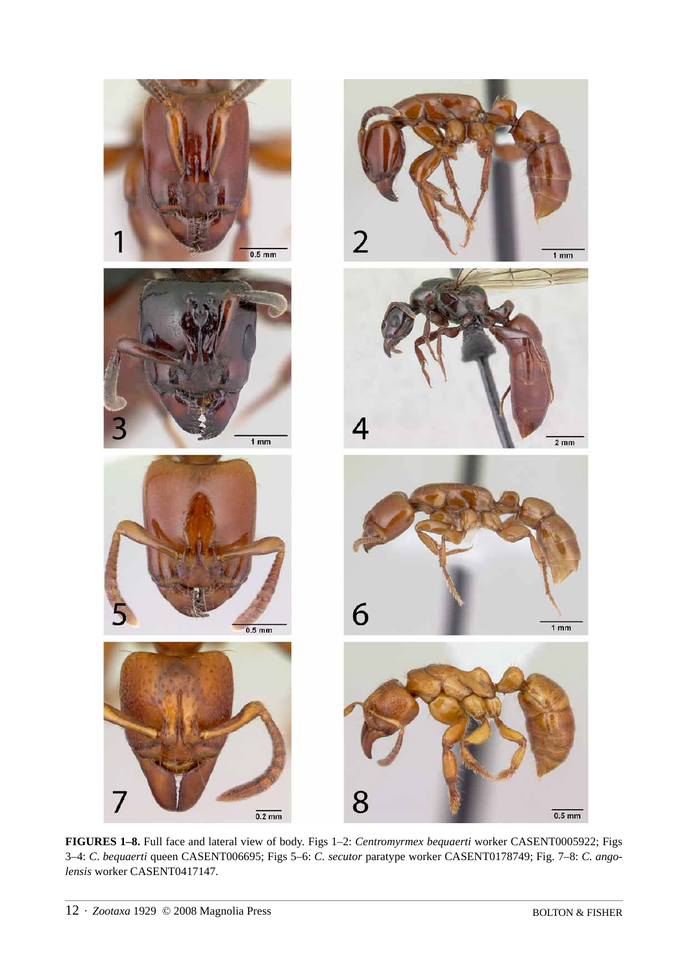

**FIGURES 1–8.** Full face and lateral view of body. Figs 1–2: *Centromyrmex bequaerti* worker CASENT0005922; Figs 3–4: *C*. *bequaerti* queen CASENT006695; Figs 5–6: *C. secutor* paratype worker CASENT0178749; Fig. 7–8: *C. angolensis* worker CASENT0417147.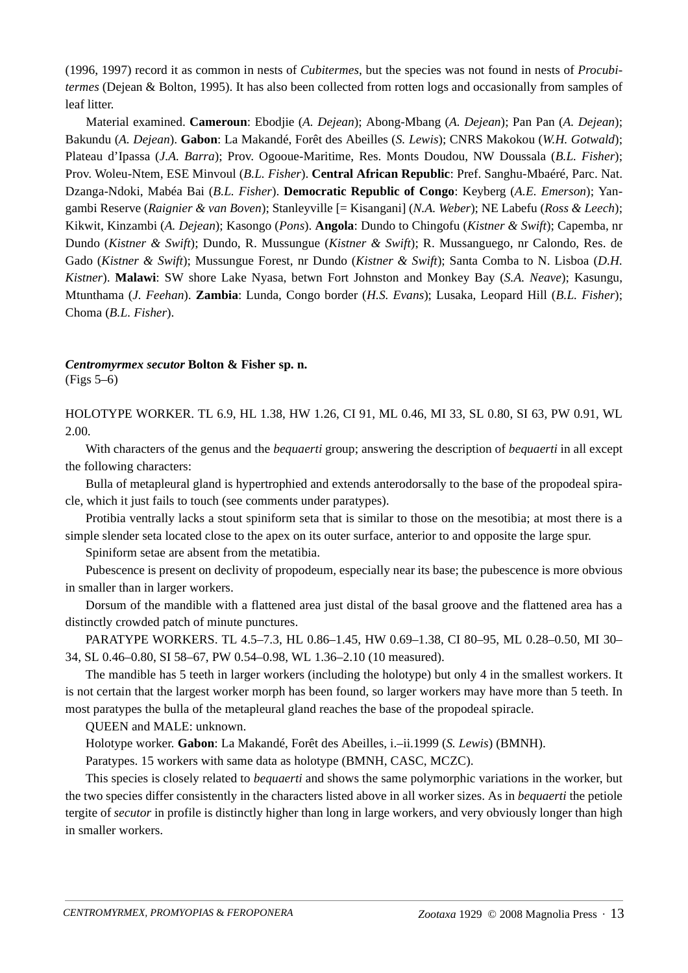(1996, 1997) record it as common in nests of *Cubitermes*, but the species was not found in nests of *Procubitermes* (Dejean & Bolton, 1995). It has also been collected from rotten logs and occasionally from samples of leaf litter.

Material examined. **Cameroun**: Ebodjie (*A. Dejean*); Abong-Mbang (*A. Dejean*); Pan Pan (*A. Dejean*); Bakundu (*A. Dejean*). **Gabon**: La Makandé, Forêt des Abeilles (*S. Lewis*); CNRS Makokou (*W.H. Gotwald*); Plateau d'Ipassa (*J.A. Barra*); Prov. Ogooue-Maritime, Res. Monts Doudou, NW Doussala (*B.L. Fisher*); Prov. Woleu-Ntem, ESE Minvoul (*B.L. Fisher*). **Central African Republic**: Pref. Sanghu-Mbaéré, Parc. Nat. Dzanga-Ndoki, Mabéa Bai (*B.L. Fisher*). **Democratic Republic of Congo**: Keyberg (*A.E. Emerson*); Yangambi Reserve (*Raignier & van Boven*); Stanleyville [= Kisangani] (*N.A. Weber*); NE Labefu (*Ross & Leech*); Kikwit, Kinzambi (*A. Dejean*); Kasongo (*Pons*). **Angola**: Dundo to Chingofu (*Kistner & Swift*); Capemba, nr Dundo (*Kistner & Swift*); Dundo, R. Mussungue (*Kistner & Swift*); R. Mussanguego, nr Calondo, Res. de Gado (*Kistner & Swift*); Mussungue Forest, nr Dundo (*Kistner & Swift*); Santa Comba to N. Lisboa (*D.H. Kistner*). **Malawi**: SW shore Lake Nyasa, betwn Fort Johnston and Monkey Bay (*S.A. Neave*); Kasungu, Mtunthama (*J. Feehan*). **Zambia**: Lunda, Congo border (*H.S. Evans*); Lusaka, Leopard Hill (*B.L. Fisher*); Choma (*B.L. Fisher*).

*Centromyrmex secutor* **Bolton & Fisher sp. n.** (Figs 5–6)

HOLOTYPE WORKER. TL 6.9, HL 1.38, HW 1.26, CI 91, ML 0.46, MI 33, SL 0.80, SI 63, PW 0.91, WL 2.00.

With characters of the genus and the *bequaerti* group; answering the description of *bequaerti* in all except the following characters:

Bulla of metapleural gland is hypertrophied and extends anterodorsally to the base of the propodeal spiracle, which it just fails to touch (see comments under paratypes).

Protibia ventrally lacks a stout spiniform seta that is similar to those on the mesotibia; at most there is a simple slender seta located close to the apex on its outer surface, anterior to and opposite the large spur.

Spiniform setae are absent from the metatibia.

Pubescence is present on declivity of propodeum, especially near its base; the pubescence is more obvious in smaller than in larger workers.

Dorsum of the mandible with a flattened area just distal of the basal groove and the flattened area has a distinctly crowded patch of minute punctures.

PARATYPE WORKERS. TL 4.5–7.3, HL 0.86–1.45, HW 0.69–1.38, CI 80–95, ML 0.28–0.50, MI 30– 34, SL 0.46–0.80, SI 58–67, PW 0.54–0.98, WL 1.36–2.10 (10 measured).

The mandible has 5 teeth in larger workers (including the holotype) but only 4 in the smallest workers. It is not certain that the largest worker morph has been found, so larger workers may have more than 5 teeth. In most paratypes the bulla of the metapleural gland reaches the base of the propodeal spiracle.

QUEEN and MALE: unknown.

Holotype worker. **Gabon**: La Makandé, Forêt des Abeilles, i.–ii.1999 (*S. Lewis*) (BMNH).

Paratypes. 15 workers with same data as holotype (BMNH, CASC, MCZC).

This species is closely related to *bequaerti* and shows the same polymorphic variations in the worker, but the two species differ consistently in the characters listed above in all worker sizes. As in *bequaerti* the petiole tergite of *secutor* in profile is distinctly higher than long in large workers, and very obviously longer than high in smaller workers.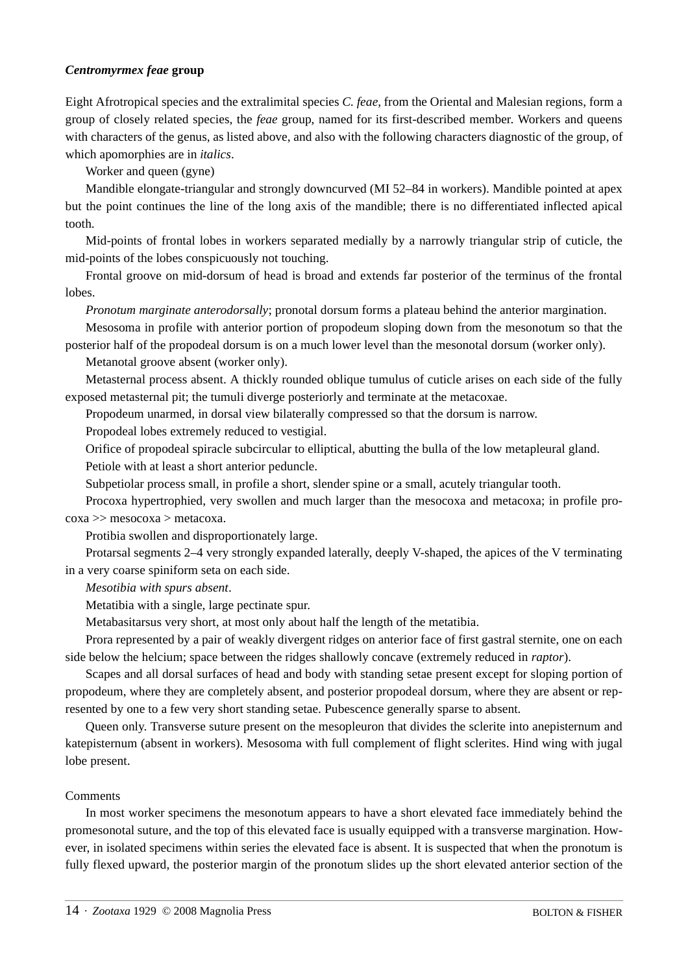#### *Centromyrmex feae* **group**

Eight Afrotropical species and the extralimital species *C. feae*, from the Oriental and Malesian regions, form a group of closely related species, the *feae* group, named for its first-described member. Workers and queens with characters of the genus, as listed above, and also with the following characters diagnostic of the group, of which apomorphies are in *italics*.

Worker and queen (gyne)

Mandible elongate-triangular and strongly downcurved (MI 52–84 in workers). Mandible pointed at apex but the point continues the line of the long axis of the mandible; there is no differentiated inflected apical tooth.

Mid-points of frontal lobes in workers separated medially by a narrowly triangular strip of cuticle, the mid-points of the lobes conspicuously not touching.

Frontal groove on mid-dorsum of head is broad and extends far posterior of the terminus of the frontal lobes.

*Pronotum marginate anterodorsally*; pronotal dorsum forms a plateau behind the anterior margination.

Mesosoma in profile with anterior portion of propodeum sloping down from the mesonotum so that the posterior half of the propodeal dorsum is on a much lower level than the mesonotal dorsum (worker only).

Metanotal groove absent (worker only).

Metasternal process absent. A thickly rounded oblique tumulus of cuticle arises on each side of the fully exposed metasternal pit; the tumuli diverge posteriorly and terminate at the metacoxae.

Propodeum unarmed, in dorsal view bilaterally compressed so that the dorsum is narrow.

Propodeal lobes extremely reduced to vestigial.

Orifice of propodeal spiracle subcircular to elliptical, abutting the bulla of the low metapleural gland. Petiole with at least a short anterior peduncle.

Subpetiolar process small, in profile a short, slender spine or a small, acutely triangular tooth.

Procoxa hypertrophied, very swollen and much larger than the mesocoxa and metacoxa; in profile procoxa >> mesocoxa > metacoxa.

Protibia swollen and disproportionately large.

Protarsal segments 2–4 very strongly expanded laterally, deeply V-shaped, the apices of the V terminating in a very coarse spiniform seta on each side.

*Mesotibia with spurs absent*.

Metatibia with a single, large pectinate spur.

Metabasitarsus very short, at most only about half the length of the metatibia.

Prora represented by a pair of weakly divergent ridges on anterior face of first gastral sternite, one on each side below the helcium; space between the ridges shallowly concave (extremely reduced in *raptor*).

Scapes and all dorsal surfaces of head and body with standing setae present except for sloping portion of propodeum, where they are completely absent, and posterior propodeal dorsum, where they are absent or represented by one to a few very short standing setae. Pubescence generally sparse to absent.

Queen only. Transverse suture present on the mesopleuron that divides the sclerite into anepisternum and katepisternum (absent in workers). Mesosoma with full complement of flight sclerites. Hind wing with jugal lobe present.

#### Comments

In most worker specimens the mesonotum appears to have a short elevated face immediately behind the promesonotal suture, and the top of this elevated face is usually equipped with a transverse margination. However, in isolated specimens within series the elevated face is absent. It is suspected that when the pronotum is fully flexed upward, the posterior margin of the pronotum slides up the short elevated anterior section of the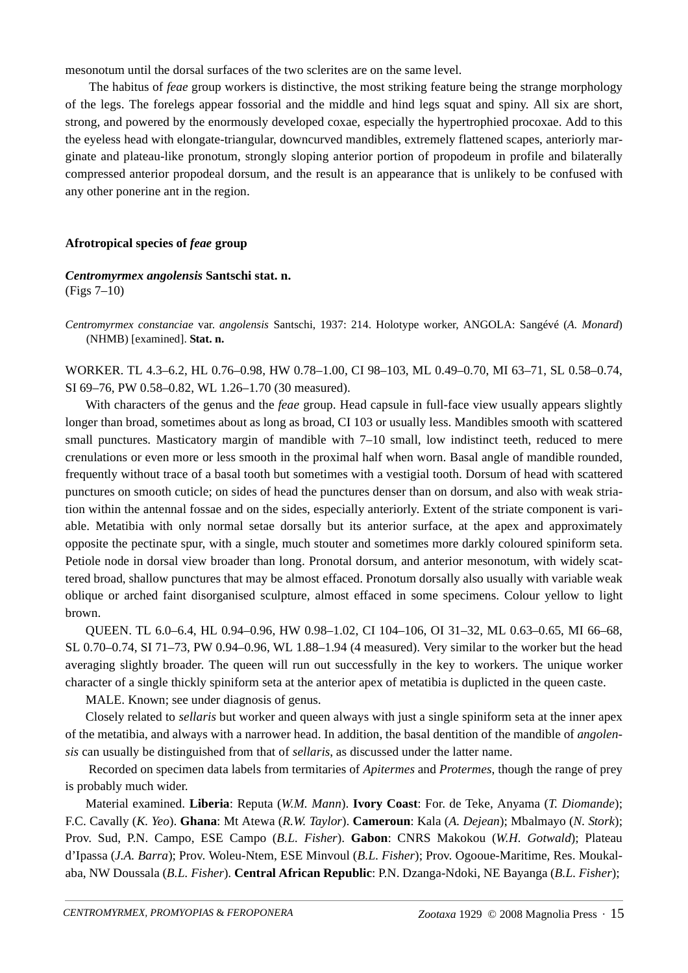mesonotum until the dorsal surfaces of the two sclerites are on the same level.

 The habitus of *feae* group workers is distinctive, the most striking feature being the strange morphology of the legs. The forelegs appear fossorial and the middle and hind legs squat and spiny. All six are short, strong, and powered by the enormously developed coxae, especially the hypertrophied procoxae. Add to this the eyeless head with elongate-triangular, downcurved mandibles, extremely flattened scapes, anteriorly marginate and plateau-like pronotum, strongly sloping anterior portion of propodeum in profile and bilaterally compressed anterior propodeal dorsum, and the result is an appearance that is unlikely to be confused with any other ponerine ant in the region.

#### **Afrotropical species of** *feae* **group**

#### *Centromyrmex angolensis* **Santschi stat. n.** (Figs 7–10)

*Centromyrmex constanciae* var. *angolensis* Santschi, 1937: 214. Holotype worker, ANGOLA: Sangévé (*A. Monard*) (NHMB) [examined]. **Stat. n.**

WORKER. TL 4.3–6.2, HL 0.76–0.98, HW 0.78–1.00, CI 98–103, ML 0.49–0.70, MI 63–71, SL 0.58–0.74, SI 69–76, PW 0.58–0.82, WL 1.26–1.70 (30 measured).

With characters of the genus and the *feae* group. Head capsule in full-face view usually appears slightly longer than broad, sometimes about as long as broad, CI 103 or usually less. Mandibles smooth with scattered small punctures. Masticatory margin of mandible with 7–10 small, low indistinct teeth, reduced to mere crenulations or even more or less smooth in the proximal half when worn. Basal angle of mandible rounded, frequently without trace of a basal tooth but sometimes with a vestigial tooth. Dorsum of head with scattered punctures on smooth cuticle; on sides of head the punctures denser than on dorsum, and also with weak striation within the antennal fossae and on the sides, especially anteriorly. Extent of the striate component is variable. Metatibia with only normal setae dorsally but its anterior surface, at the apex and approximately opposite the pectinate spur, with a single, much stouter and sometimes more darkly coloured spiniform seta. Petiole node in dorsal view broader than long. Pronotal dorsum, and anterior mesonotum, with widely scattered broad, shallow punctures that may be almost effaced. Pronotum dorsally also usually with variable weak oblique or arched faint disorganised sculpture, almost effaced in some specimens. Colour yellow to light brown.

QUEEN. TL 6.0–6.4, HL 0.94–0.96, HW 0.98–1.02, CI 104–106, OI 31–32, ML 0.63–0.65, MI 66–68, SL 0.70–0.74, SI 71–73, PW 0.94–0.96, WL 1.88–1.94 (4 measured). Very similar to the worker but the head averaging slightly broader. The queen will run out successfully in the key to workers. The unique worker character of a single thickly spiniform seta at the anterior apex of metatibia is duplicted in the queen caste.

MALE. Known; see under diagnosis of genus.

Closely related to *sellaris* but worker and queen always with just a single spiniform seta at the inner apex of the metatibia, and always with a narrower head. In addition, the basal dentition of the mandible of *angolensis* can usually be distinguished from that of *sellaris*, as discussed under the latter name.

 Recorded on specimen data labels from termitaries of *Apitermes* and *Protermes*, though the range of prey is probably much wider.

Material examined. **Liberia**: Reputa (*W.M. Mann*). **Ivory Coast**: For. de Teke, Anyama (*T. Diomande*); F.C. Cavally (*K. Yeo*). **Ghana**: Mt Atewa (*R.W. Taylor*). **Cameroun**: Kala (*A. Dejean*); Mbalmayo (*N. Stork*); Prov. Sud, P.N. Campo, ESE Campo (*B.L. Fisher*). **Gabon**: CNRS Makokou (*W.H. Gotwald*); Plateau d'Ipassa (*J.A. Barra*); Prov. Woleu-Ntem, ESE Minvoul (*B.L. Fisher*); Prov. Ogooue-Maritime, Res. Moukalaba, NW Doussala (*B.L. Fisher*). **Central African Republic**: P.N. Dzanga-Ndoki, NE Bayanga (*B.L. Fisher*);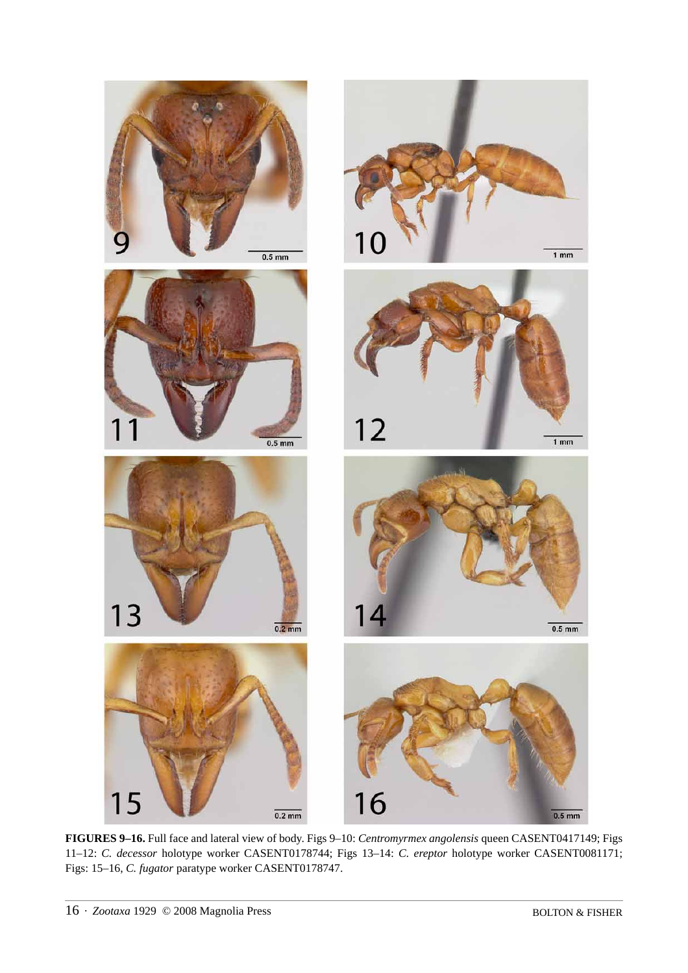

**FIGURES 9–16.** Full face and lateral view of body. Figs 9–10: *Centromyrmex angolensis* queen CASENT0417149; Figs 11–12: *C. decessor* holotype worker CASENT0178744; Figs 13–14: *C. ereptor* holotype worker CASENT0081171; Figs: 15–16, *C. fugator* paratype worker CASENT0178747.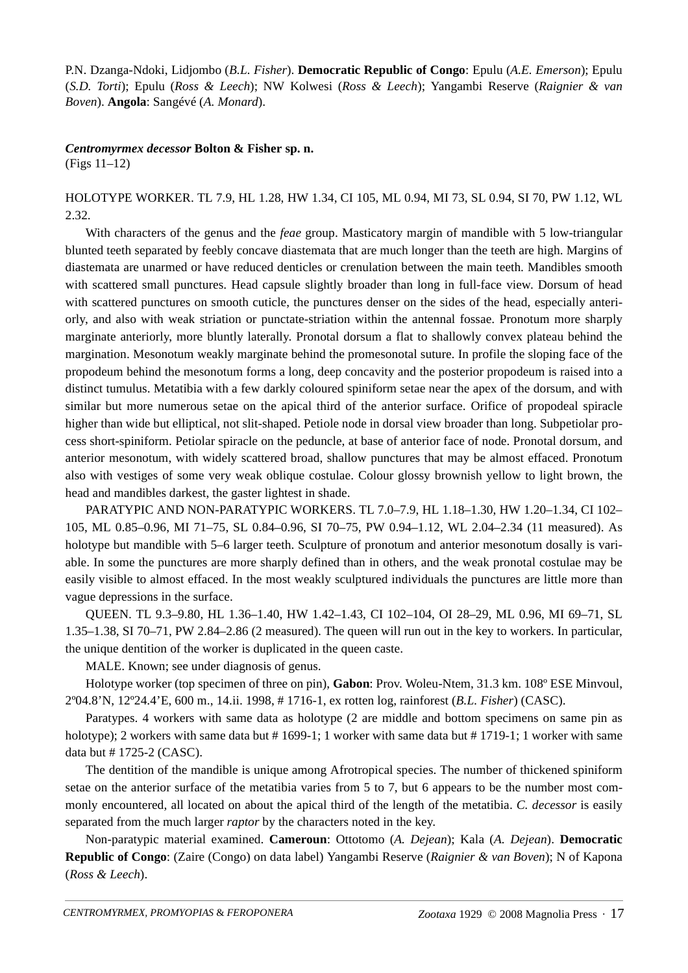P.N. Dzanga-Ndoki, Lidjombo (*B.L. Fisher*). **Democratic Republic of Congo**: Epulu (*A.E. Emerson*); Epulu (*S.D. Torti*); Epulu (*Ross & Leech*); NW Kolwesi (*Ross & Leech*); Yangambi Reserve (*Raignier & van Boven*). **Angola**: Sangévé (*A. Monard*).

## *Centromyrmex decessor* **Bolton & Fisher sp. n.**

(Figs 11–12)

## HOLOTYPE WORKER. TL 7.9, HL 1.28, HW 1.34, CI 105, ML 0.94, MI 73, SL 0.94, SI 70, PW 1.12, WL 2.32.

With characters of the genus and the *feae* group. Masticatory margin of mandible with 5 low-triangular blunted teeth separated by feebly concave diastemata that are much longer than the teeth are high. Margins of diastemata are unarmed or have reduced denticles or crenulation between the main teeth. Mandibles smooth with scattered small punctures. Head capsule slightly broader than long in full-face view. Dorsum of head with scattered punctures on smooth cuticle, the punctures denser on the sides of the head, especially anteriorly, and also with weak striation or punctate-striation within the antennal fossae. Pronotum more sharply marginate anteriorly, more bluntly laterally. Pronotal dorsum a flat to shallowly convex plateau behind the margination. Mesonotum weakly marginate behind the promesonotal suture. In profile the sloping face of the propodeum behind the mesonotum forms a long, deep concavity and the posterior propodeum is raised into a distinct tumulus. Metatibia with a few darkly coloured spiniform setae near the apex of the dorsum, and with similar but more numerous setae on the apical third of the anterior surface. Orifice of propodeal spiracle higher than wide but elliptical, not slit-shaped. Petiole node in dorsal view broader than long. Subpetiolar process short-spiniform. Petiolar spiracle on the peduncle, at base of anterior face of node. Pronotal dorsum, and anterior mesonotum, with widely scattered broad, shallow punctures that may be almost effaced. Pronotum also with vestiges of some very weak oblique costulae. Colour glossy brownish yellow to light brown, the head and mandibles darkest, the gaster lightest in shade.

PARATYPIC AND NON-PARATYPIC WORKERS. TL 7.0–7.9, HL 1.18–1.30, HW 1.20–1.34, CI 102– 105, ML 0.85–0.96, MI 71–75, SL 0.84–0.96, SI 70–75, PW 0.94–1.12, WL 2.04–2.34 (11 measured). As holotype but mandible with 5–6 larger teeth. Sculpture of pronotum and anterior mesonotum dosally is variable. In some the punctures are more sharply defined than in others, and the weak pronotal costulae may be easily visible to almost effaced. In the most weakly sculptured individuals the punctures are little more than vague depressions in the surface.

QUEEN. TL 9.3–9.80, HL 1.36–1.40, HW 1.42–1.43, CI 102–104, OI 28–29, ML 0.96, MI 69–71, SL 1.35–1.38, SI 70–71, PW 2.84–2.86 (2 measured). The queen will run out in the key to workers. In particular, the unique dentition of the worker is duplicated in the queen caste.

MALE. Known; see under diagnosis of genus.

Holotype worker (top specimen of three on pin), **Gabon**: Prov. Woleu-Ntem, 31.3 km. 108º ESE Minvoul, 2º04.8'N, 12º24.4'E, 600 m., 14.ii. 1998, # 1716-1, ex rotten log, rainforest (*B.L. Fisher*) (CASC).

Paratypes. 4 workers with same data as holotype (2 are middle and bottom specimens on same pin as holotype); 2 workers with same data but # 1699-1; 1 worker with same data but # 1719-1; 1 worker with same data but # 1725-2 (CASC).

The dentition of the mandible is unique among Afrotropical species. The number of thickened spiniform setae on the anterior surface of the metatibia varies from 5 to 7, but 6 appears to be the number most commonly encountered, all located on about the apical third of the length of the metatibia. *C. decessor* is easily separated from the much larger *raptor* by the characters noted in the key.

Non-paratypic material examined. **Cameroun**: Ottotomo (*A. Dejean*); Kala (*A. Dejean*). **Democratic Republic of Congo**: (Zaire (Congo) on data label) Yangambi Reserve (*Raignier & van Boven*); N of Kapona (*Ross & Leech*).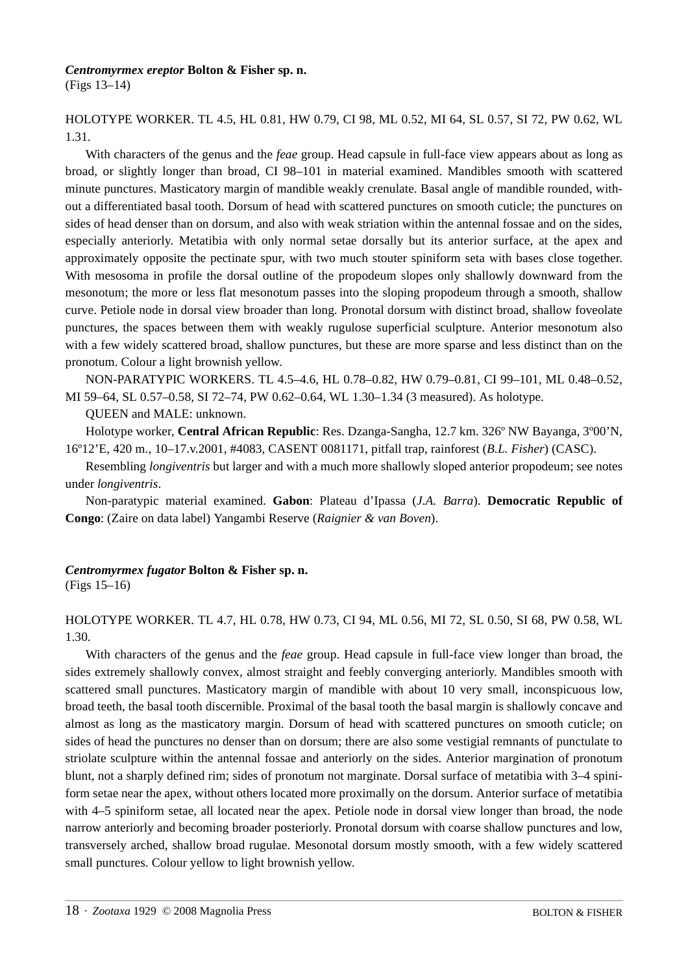#### *Centromyrmex ereptor* **Bolton & Fisher sp. n.**

(Figs 13–14)

## HOLOTYPE WORKER. TL 4.5, HL 0.81, HW 0.79, CI 98, ML 0.52, MI 64, SL 0.57, SI 72, PW 0.62, WL 1.31.

With characters of the genus and the *feae* group. Head capsule in full-face view appears about as long as broad, or slightly longer than broad, CI 98–101 in material examined. Mandibles smooth with scattered minute punctures. Masticatory margin of mandible weakly crenulate. Basal angle of mandible rounded, without a differentiated basal tooth. Dorsum of head with scattered punctures on smooth cuticle; the punctures on sides of head denser than on dorsum, and also with weak striation within the antennal fossae and on the sides, especially anteriorly. Metatibia with only normal setae dorsally but its anterior surface, at the apex and approximately opposite the pectinate spur, with two much stouter spiniform seta with bases close together. With mesosoma in profile the dorsal outline of the propodeum slopes only shallowly downward from the mesonotum; the more or less flat mesonotum passes into the sloping propodeum through a smooth, shallow curve. Petiole node in dorsal view broader than long. Pronotal dorsum with distinct broad, shallow foveolate punctures, the spaces between them with weakly rugulose superficial sculpture. Anterior mesonotum also with a few widely scattered broad, shallow punctures, but these are more sparse and less distinct than on the pronotum. Colour a light brownish yellow.

NON-PARATYPIC WORKERS. TL 4.5–4.6, HL 0.78–0.82, HW 0.79–0.81, CI 99–101, ML 0.48–0.52, MI 59–64, SL 0.57–0.58, SI 72–74, PW 0.62–0.64, WL 1.30–1.34 (3 measured). As holotype.

QUEEN and MALE: unknown.

Holotype worker, **Central African Republic**: Res. Dzanga-Sangha, 12.7 km. 326º NW Bayanga, 3º00'N, 16º12'E, 420 m., 10–17.v.2001, #4083, CASENT 0081171, pitfall trap, rainforest (*B.L. Fisher*) (CASC).

Resembling *longiventris* but larger and with a much more shallowly sloped anterior propodeum; see notes under *longiventris*.

Non-paratypic material examined. **Gabon**: Plateau d'Ipassa (*J.A. Barra*). **Democratic Republic of Congo**: (Zaire on data label) Yangambi Reserve (*Raignier & van Boven*).

#### *Centromyrmex fugator* **Bolton & Fisher sp. n.** (Figs 15–16)

## HOLOTYPE WORKER. TL 4.7, HL 0.78, HW 0.73, CI 94, ML 0.56, MI 72, SL 0.50, SI 68, PW 0.58, WL 1.30.

With characters of the genus and the *feae* group. Head capsule in full-face view longer than broad, the sides extremely shallowly convex, almost straight and feebly converging anteriorly. Mandibles smooth with scattered small punctures. Masticatory margin of mandible with about 10 very small, inconspicuous low, broad teeth, the basal tooth discernible. Proximal of the basal tooth the basal margin is shallowly concave and almost as long as the masticatory margin. Dorsum of head with scattered punctures on smooth cuticle; on sides of head the punctures no denser than on dorsum; there are also some vestigial remnants of punctulate to striolate sculpture within the antennal fossae and anteriorly on the sides. Anterior margination of pronotum blunt, not a sharply defined rim; sides of pronotum not marginate. Dorsal surface of metatibia with 3–4 spiniform setae near the apex, without others located more proximally on the dorsum. Anterior surface of metatibia with 4–5 spiniform setae, all located near the apex. Petiole node in dorsal view longer than broad, the node narrow anteriorly and becoming broader posteriorly. Pronotal dorsum with coarse shallow punctures and low, transversely arched, shallow broad rugulae. Mesonotal dorsum mostly smooth, with a few widely scattered small punctures. Colour yellow to light brownish yellow.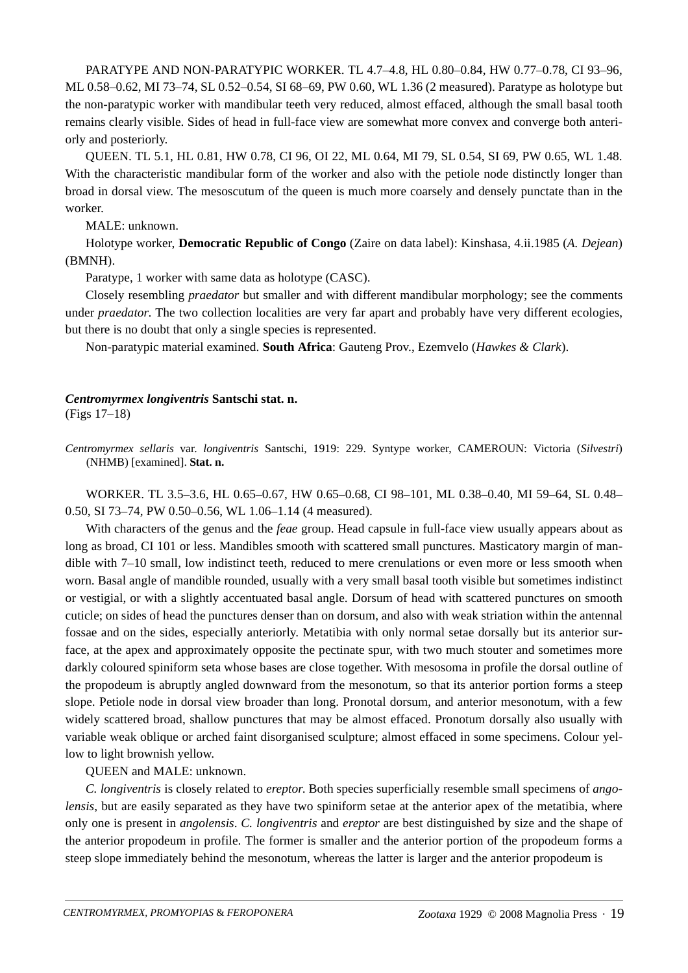PARATYPE AND NON-PARATYPIC WORKER. TL 4.7–4.8, HL 0.80–0.84, HW 0.77–0.78, CI 93–96, ML 0.58–0.62, MI 73–74, SL 0.52–0.54, SI 68–69, PW 0.60, WL 1.36 (2 measured). Paratype as holotype but the non-paratypic worker with mandibular teeth very reduced, almost effaced, although the small basal tooth remains clearly visible. Sides of head in full-face view are somewhat more convex and converge both anteriorly and posteriorly.

QUEEN. TL 5.1, HL 0.81, HW 0.78, CI 96, OI 22, ML 0.64, MI 79, SL 0.54, SI 69, PW 0.65, WL 1.48. With the characteristic mandibular form of the worker and also with the petiole node distinctly longer than broad in dorsal view. The mesoscutum of the queen is much more coarsely and densely punctate than in the worker.

#### MALE: unknown.

Holotype worker, **Democratic Republic of Congo** (Zaire on data label): Kinshasa, 4.ii.1985 (*A. Dejean*) (BMNH).

Paratype, 1 worker with same data as holotype (CASC).

Closely resembling *praedator* but smaller and with different mandibular morphology; see the comments under *praedator*. The two collection localities are very far apart and probably have very different ecologies, but there is no doubt that only a single species is represented.

Non-paratypic material examined. **South Africa**: Gauteng Prov., Ezemvelo (*Hawkes & Clark*).

#### *Centromyrmex longiventris* **Santschi stat. n.**

(Figs 17–18)

*Centromyrmex sellaris* var. *longiventris* Santschi, 1919: 229. Syntype worker, CAMEROUN: Victoria (*Silvestri*) (NHMB) [examined]. **Stat. n.**

WORKER. TL 3.5–3.6, HL 0.65–0.67, HW 0.65–0.68, CI 98–101, ML 0.38–0.40, MI 59–64, SL 0.48– 0.50, SI 73–74, PW 0.50–0.56, WL 1.06–1.14 (4 measured).

With characters of the genus and the *feae* group. Head capsule in full-face view usually appears about as long as broad, CI 101 or less. Mandibles smooth with scattered small punctures. Masticatory margin of mandible with 7–10 small, low indistinct teeth, reduced to mere crenulations or even more or less smooth when worn. Basal angle of mandible rounded, usually with a very small basal tooth visible but sometimes indistinct or vestigial, or with a slightly accentuated basal angle. Dorsum of head with scattered punctures on smooth cuticle; on sides of head the punctures denser than on dorsum, and also with weak striation within the antennal fossae and on the sides, especially anteriorly. Metatibia with only normal setae dorsally but its anterior surface, at the apex and approximately opposite the pectinate spur, with two much stouter and sometimes more darkly coloured spiniform seta whose bases are close together. With mesosoma in profile the dorsal outline of the propodeum is abruptly angled downward from the mesonotum, so that its anterior portion forms a steep slope. Petiole node in dorsal view broader than long. Pronotal dorsum, and anterior mesonotum, with a few widely scattered broad, shallow punctures that may be almost effaced. Pronotum dorsally also usually with variable weak oblique or arched faint disorganised sculpture; almost effaced in some specimens. Colour yellow to light brownish yellow.

QUEEN and MALE: unknown.

*C. longiventris* is closely related to *ereptor*. Both species superficially resemble small specimens of *angolensis*, but are easily separated as they have two spiniform setae at the anterior apex of the metatibia, where only one is present in *angolensis*. *C. longiventris* and *ereptor* are best distinguished by size and the shape of the anterior propodeum in profile. The former is smaller and the anterior portion of the propodeum forms a steep slope immediately behind the mesonotum, whereas the latter is larger and the anterior propodeum is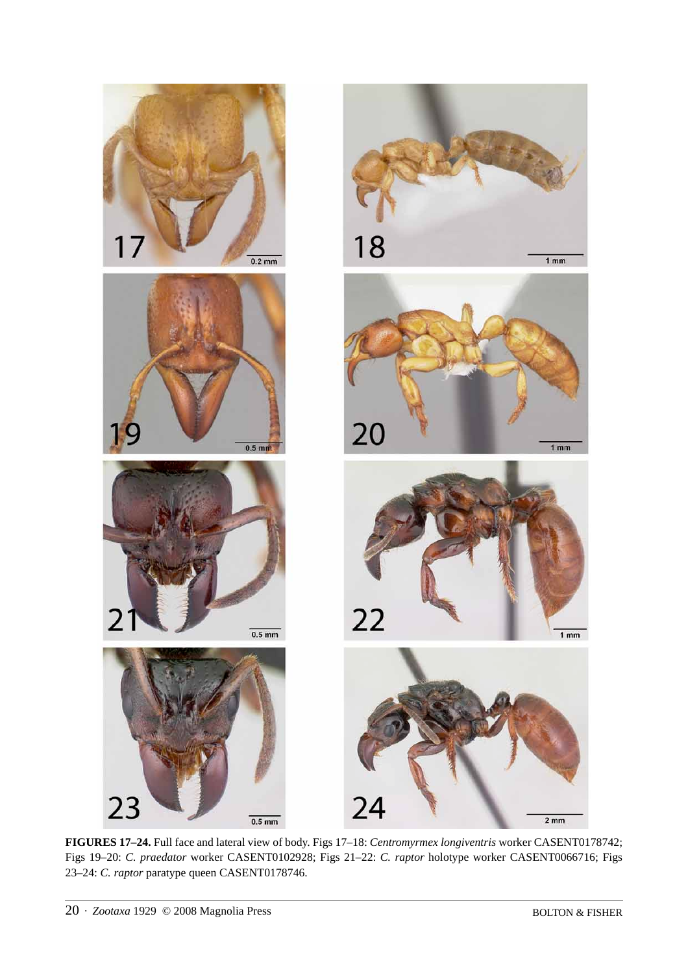

**FIGURES 17–24.** Full face and lateral view of body. Figs 17–18: *Centromyrmex longiventris* worker CASENT0178742; Figs 19–20: *C. praedator* worker CASENT0102928; Figs 21–22: *C. raptor* holotype worker CASENT0066716; Figs 23–24: *C. raptor* paratype queen CASENT0178746.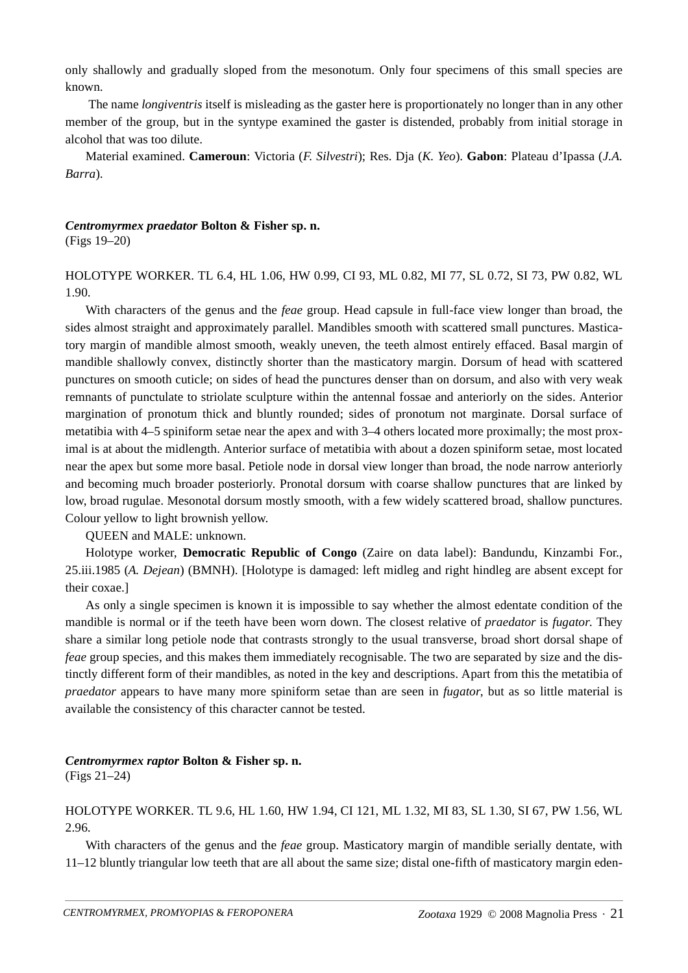only shallowly and gradually sloped from the mesonotum. Only four specimens of this small species are known.

 The name *longiventris* itself is misleading as the gaster here is proportionately no longer than in any other member of the group, but in the syntype examined the gaster is distended, probably from initial storage in alcohol that was too dilute.

Material examined. **Cameroun**: Victoria (*F. Silvestri*); Res. Dja (*K. Yeo*). **Gabon**: Plateau d'Ipassa (*J.A. Barra*).

#### *Centromyrmex praedator* **Bolton & Fisher sp. n.** (Figs 19–20)

HOLOTYPE WORKER. TL 6.4, HL 1.06, HW 0.99, CI 93, ML 0.82, MI 77, SL 0.72, SI 73, PW 0.82, WL 1.90.

With characters of the genus and the *feae* group. Head capsule in full-face view longer than broad, the sides almost straight and approximately parallel. Mandibles smooth with scattered small punctures. Masticatory margin of mandible almost smooth, weakly uneven, the teeth almost entirely effaced. Basal margin of mandible shallowly convex, distinctly shorter than the masticatory margin. Dorsum of head with scattered punctures on smooth cuticle; on sides of head the punctures denser than on dorsum, and also with very weak remnants of punctulate to striolate sculpture within the antennal fossae and anteriorly on the sides. Anterior margination of pronotum thick and bluntly rounded; sides of pronotum not marginate. Dorsal surface of metatibia with 4–5 spiniform setae near the apex and with 3–4 others located more proximally; the most proximal is at about the midlength. Anterior surface of metatibia with about a dozen spiniform setae, most located near the apex but some more basal. Petiole node in dorsal view longer than broad, the node narrow anteriorly and becoming much broader posteriorly. Pronotal dorsum with coarse shallow punctures that are linked by low, broad rugulae. Mesonotal dorsum mostly smooth, with a few widely scattered broad, shallow punctures. Colour yellow to light brownish yellow.

QUEEN and MALE: unknown.

Holotype worker, **Democratic Republic of Congo** (Zaire on data label): Bandundu, Kinzambi For., 25.iii.1985 (*A. Dejean*) (BMNH). [Holotype is damaged: left midleg and right hindleg are absent except for their coxae.]

As only a single specimen is known it is impossible to say whether the almost edentate condition of the mandible is normal or if the teeth have been worn down. The closest relative of *praedator* is *fugator*. They share a similar long petiole node that contrasts strongly to the usual transverse, broad short dorsal shape of *feae* group species, and this makes them immediately recognisable. The two are separated by size and the distinctly different form of their mandibles, as noted in the key and descriptions. Apart from this the metatibia of *praedator* appears to have many more spiniform setae than are seen in *fugator*, but as so little material is available the consistency of this character cannot be tested.

#### *Centromyrmex raptor* **Bolton & Fisher sp. n.**

(Figs 21–24)

HOLOTYPE WORKER. TL 9.6, HL 1.60, HW 1.94, CI 121, ML 1.32, MI 83, SL 1.30, SI 67, PW 1.56, WL 2.96.

With characters of the genus and the *feae* group. Masticatory margin of mandible serially dentate, with 11–12 bluntly triangular low teeth that are all about the same size; distal one-fifth of masticatory margin eden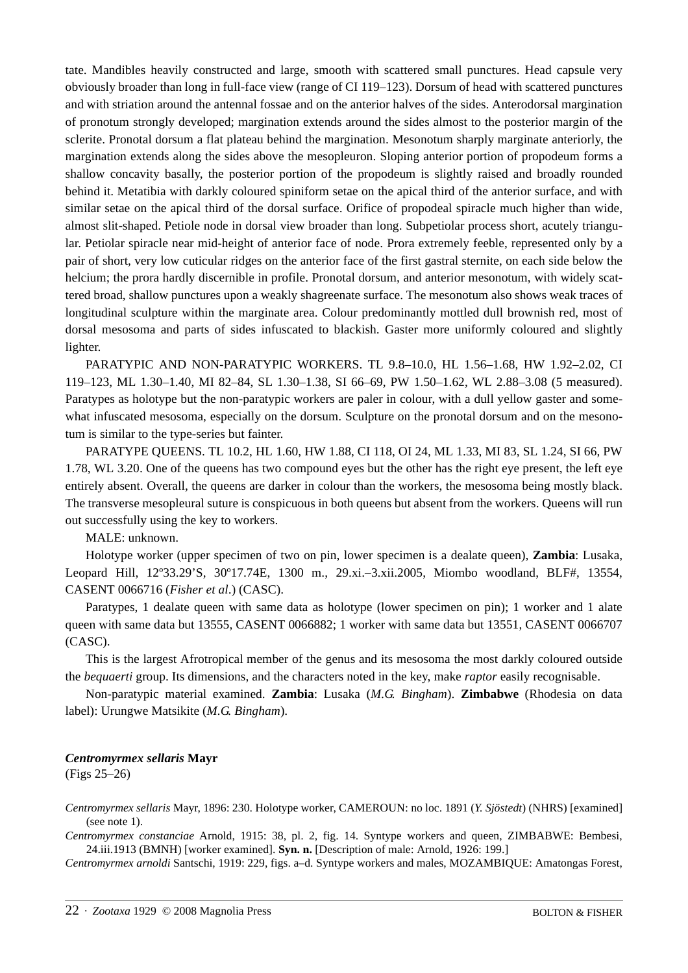tate. Mandibles heavily constructed and large, smooth with scattered small punctures. Head capsule very obviously broader than long in full-face view (range of CI 119–123). Dorsum of head with scattered punctures and with striation around the antennal fossae and on the anterior halves of the sides. Anterodorsal margination of pronotum strongly developed; margination extends around the sides almost to the posterior margin of the sclerite. Pronotal dorsum a flat plateau behind the margination. Mesonotum sharply marginate anteriorly, the margination extends along the sides above the mesopleuron. Sloping anterior portion of propodeum forms a shallow concavity basally, the posterior portion of the propodeum is slightly raised and broadly rounded behind it. Metatibia with darkly coloured spiniform setae on the apical third of the anterior surface, and with similar setae on the apical third of the dorsal surface. Orifice of propodeal spiracle much higher than wide, almost slit-shaped. Petiole node in dorsal view broader than long. Subpetiolar process short, acutely triangular. Petiolar spiracle near mid-height of anterior face of node. Prora extremely feeble, represented only by a pair of short, very low cuticular ridges on the anterior face of the first gastral sternite, on each side below the helcium; the prora hardly discernible in profile. Pronotal dorsum, and anterior mesonotum, with widely scattered broad, shallow punctures upon a weakly shagreenate surface. The mesonotum also shows weak traces of longitudinal sculpture within the marginate area. Colour predominantly mottled dull brownish red, most of dorsal mesosoma and parts of sides infuscated to blackish. Gaster more uniformly coloured and slightly lighter.

PARATYPIC AND NON-PARATYPIC WORKERS. TL 9.8–10.0, HL 1.56–1.68, HW 1.92–2.02, CI 119–123, ML 1.30–1.40, MI 82–84, SL 1.30–1.38, SI 66–69, PW 1.50–1.62, WL 2.88–3.08 (5 measured). Paratypes as holotype but the non-paratypic workers are paler in colour, with a dull yellow gaster and somewhat infuscated mesosoma, especially on the dorsum. Sculpture on the pronotal dorsum and on the mesonotum is similar to the type-series but fainter.

PARATYPE QUEENS. TL 10.2, HL 1.60, HW 1.88, CI 118, OI 24, ML 1.33, MI 83, SL 1.24, SI 66, PW 1.78, WL 3.20. One of the queens has two compound eyes but the other has the right eye present, the left eye entirely absent. Overall, the queens are darker in colour than the workers, the mesosoma being mostly black. The transverse mesopleural suture is conspicuous in both queens but absent from the workers. Queens will run out successfully using the key to workers.

MALE: unknown.

Holotype worker (upper specimen of two on pin, lower specimen is a dealate queen), **Zambia**: Lusaka, Leopard Hill, 12º33.29'S, 30º17.74E, 1300 m., 29.xi.–3.xii.2005, Miombo woodland, BLF#, 13554, CASENT 0066716 (*Fisher et al*.) (CASC).

Paratypes, 1 dealate queen with same data as holotype (lower specimen on pin); 1 worker and 1 alate queen with same data but 13555, CASENT 0066882; 1 worker with same data but 13551, CASENT 0066707 (CASC).

This is the largest Afrotropical member of the genus and its mesosoma the most darkly coloured outside the *bequaerti* group. Its dimensions, and the characters noted in the key, make *raptor* easily recognisable.

Non-paratypic material examined. **Zambia**: Lusaka (*M.G. Bingham*). **Zimbabwe** (Rhodesia on data label): Urungwe Matsikite (*M.G. Bingham*).

#### *Centromyrmex sellaris* **Mayr**

(Figs 25–26)

*Centromyrmex sellaris* Mayr, 1896: 230. Holotype worker, CAMEROUN: no loc. 1891 (*Y. Sjöstedt*) (NHRS) [examined] (see note 1).

*Centromyrmex constanciae* Arnold, 1915: 38, pl. 2, fig. 14. Syntype workers and queen, ZIMBABWE: Bembesi, 24.iii.1913 (BMNH) [worker examined]. **Syn. n.** [Description of male: Arnold, 1926: 199.]

*Centromyrmex arnoldi* Santschi, 1919: 229, figs. a–d. Syntype workers and males, MOZAMBIQUE: Amatongas Forest,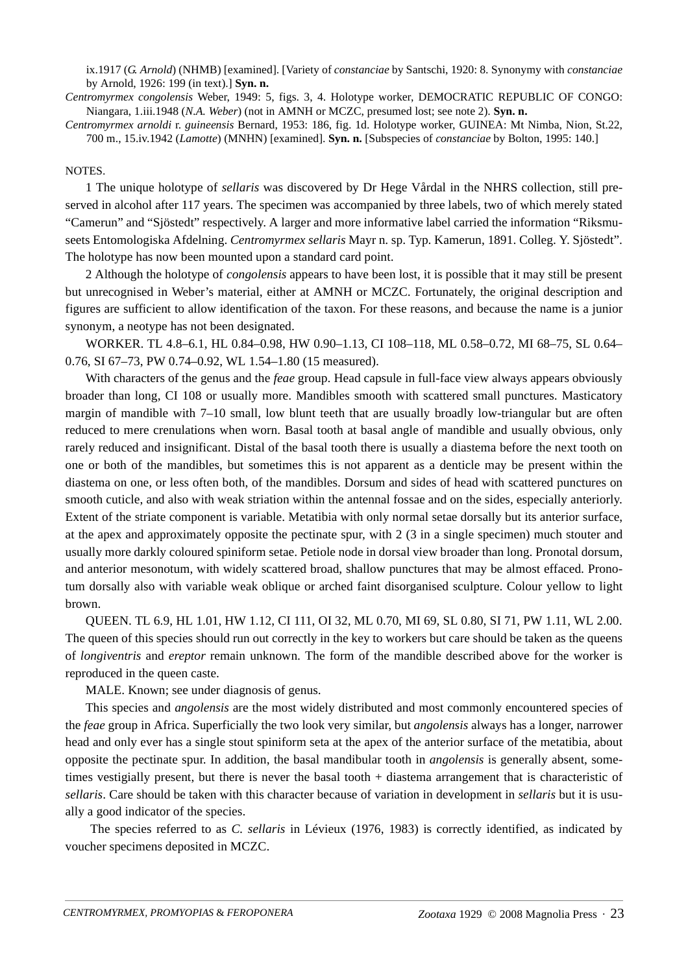ix.1917 (*G. Arnold*) (NHMB) [examined]. [Variety of *constanciae* by Santschi, 1920: 8. Synonymy with *constanciae* by Arnold, 1926: 199 (in text).] **Syn. n.**

*Centromyrmex congolensis* Weber, 1949: 5, figs. 3, 4. Holotype worker, DEMOCRATIC REPUBLIC OF CONGO: Niangara, 1.iii.1948 (*N.A. Weber*) (not in AMNH or MCZC, presumed lost; see note 2). **Syn. n.**

*Centromyrmex arnoldi* r. *guineensis* Bernard, 1953: 186, fig. 1d. Holotype worker, GUINEA: Mt Nimba, Nion, St.22, 700 m., 15.iv.1942 (*Lamotte*) (MNHN) [examined]. **Syn. n.** [Subspecies of *constanciae* by Bolton, 1995: 140.]

#### NOTES.

1 The unique holotype of *sellaris* was discovered by Dr Hege Vårdal in the NHRS collection, still preserved in alcohol after 117 years. The specimen was accompanied by three labels, two of which merely stated "Camerun" and "Sjöstedt" respectively. A larger and more informative label carried the information "Riksmuseets Entomologiska Afdelning. *Centromyrmex sellaris* Mayr n. sp. Typ. Kamerun, 1891. Colleg. Y. Sjöstedt". The holotype has now been mounted upon a standard card point.

2 Although the holotype of *congolensis* appears to have been lost, it is possible that it may still be present but unrecognised in Weber's material, either at AMNH or MCZC. Fortunately, the original description and figures are sufficient to allow identification of the taxon. For these reasons, and because the name is a junior synonym, a neotype has not been designated.

WORKER. TL 4.8–6.1, HL 0.84–0.98, HW 0.90–1.13, CI 108–118, ML 0.58–0.72, MI 68–75, SL 0.64– 0.76, SI 67–73, PW 0.74–0.92, WL 1.54–1.80 (15 measured).

With characters of the genus and the *feae* group. Head capsule in full-face view always appears obviously broader than long, CI 108 or usually more. Mandibles smooth with scattered small punctures. Masticatory margin of mandible with 7–10 small, low blunt teeth that are usually broadly low-triangular but are often reduced to mere crenulations when worn. Basal tooth at basal angle of mandible and usually obvious, only rarely reduced and insignificant. Distal of the basal tooth there is usually a diastema before the next tooth on one or both of the mandibles, but sometimes this is not apparent as a denticle may be present within the diastema on one, or less often both, of the mandibles. Dorsum and sides of head with scattered punctures on smooth cuticle, and also with weak striation within the antennal fossae and on the sides, especially anteriorly. Extent of the striate component is variable. Metatibia with only normal setae dorsally but its anterior surface, at the apex and approximately opposite the pectinate spur, with 2 (3 in a single specimen) much stouter and usually more darkly coloured spiniform setae. Petiole node in dorsal view broader than long. Pronotal dorsum, and anterior mesonotum, with widely scattered broad, shallow punctures that may be almost effaced. Pronotum dorsally also with variable weak oblique or arched faint disorganised sculpture. Colour yellow to light brown.

QUEEN. TL 6.9, HL 1.01, HW 1.12, CI 111, OI 32, ML 0.70, MI 69, SL 0.80, SI 71, PW 1.11, WL 2.00. The queen of this species should run out correctly in the key to workers but care should be taken as the queens of *longiventris* and *ereptor* remain unknown. The form of the mandible described above for the worker is reproduced in the queen caste.

MALE. Known; see under diagnosis of genus.

This species and *angolensis* are the most widely distributed and most commonly encountered species of the *feae* group in Africa. Superficially the two look very similar, but *angolensis* always has a longer, narrower head and only ever has a single stout spiniform seta at the apex of the anterior surface of the metatibia, about opposite the pectinate spur. In addition, the basal mandibular tooth in *angolensis* is generally absent, sometimes vestigially present, but there is never the basal tooth + diastema arrangement that is characteristic of *sellaris*. Care should be taken with this character because of variation in development in *sellaris* but it is usually a good indicator of the species.

 The species referred to as *C. sellaris* in Lévieux (1976, 1983) is correctly identified, as indicated by voucher specimens deposited in MCZC.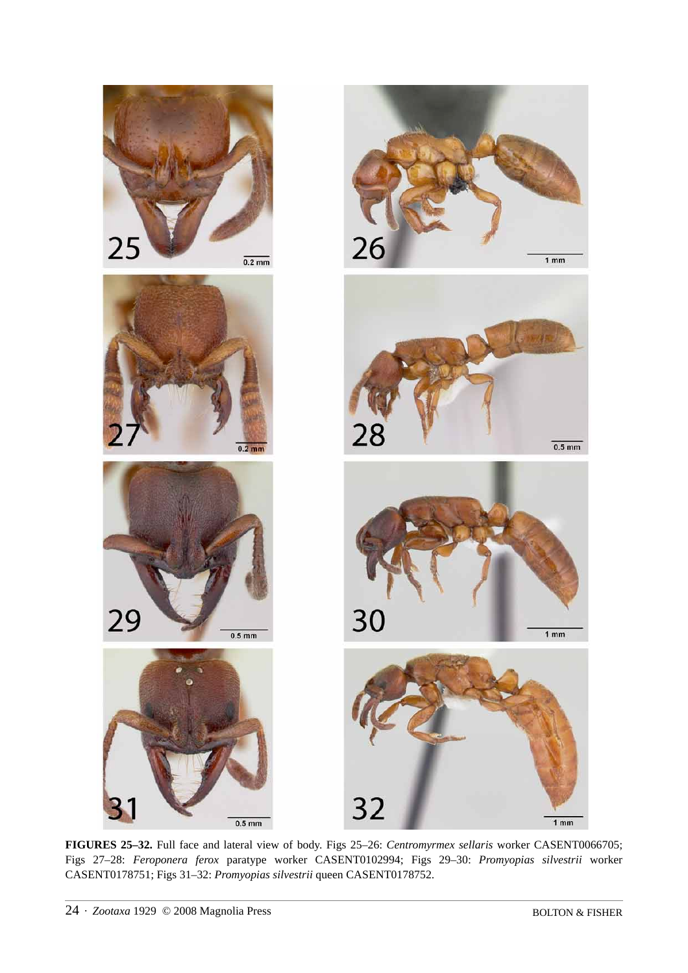

**FIGURES 25–32.** Full face and lateral view of body. Figs 25–26: *Centromyrmex sellaris* worker CASENT0066705; Figs 27–28: *Feroponera ferox* paratype worker CASENT0102994; Figs 29–30: *Promyopias silvestrii* worker CASENT0178751; Figs 31–32: *Promyopias silvestrii* queen CASENT0178752.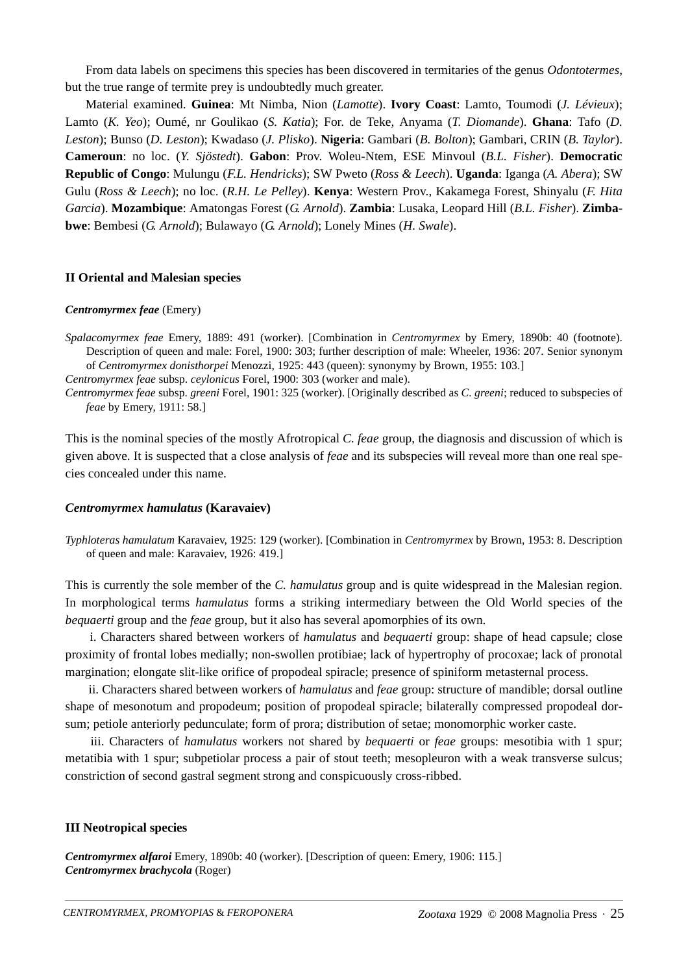From data labels on specimens this species has been discovered in termitaries of the genus *Odontotermes*, but the true range of termite prey is undoubtedly much greater.

Material examined. **Guinea**: Mt Nimba, Nion (*Lamotte*). **Ivory Coast**: Lamto, Toumodi (*J. Lévieux*); Lamto (*K. Yeo*); Oumé, nr Goulikao (*S. Katia*); For. de Teke, Anyama (*T. Diomande*). **Ghana**: Tafo (*D. Leston*); Bunso (*D. Leston*); Kwadaso (*J. Plisko*). **Nigeria**: Gambari (*B. Bolton*); Gambari, CRIN (*B. Taylor*). **Cameroun**: no loc. (*Y. Sjöstedt*). **Gabon**: Prov. Woleu-Ntem, ESE Minvoul (*B.L. Fisher*). **Democratic Republic of Congo**: Mulungu (*F.L. Hendricks*); SW Pweto (*Ross & Leech*). **Uganda**: Iganga (*A. Abera*); SW Gulu (*Ross & Leech*); no loc. (*R.H. Le Pelley*). **Kenya**: Western Prov., Kakamega Forest, Shinyalu (*F. Hita Garcia*). **Mozambique**: Amatongas Forest (*G. Arnold*). **Zambia**: Lusaka, Leopard Hill (*B.L. Fisher*). **Zimbabwe**: Bembesi (*G. Arnold*); Bulawayo (*G. Arnold*); Lonely Mines (*H. Swale*).

#### **II Oriental and Malesian species**

#### *Centromyrmex feae* (Emery)

- *Spalacomyrmex feae* Emery, 1889: 491 (worker). [Combination in *Centromyrmex* by Emery, 1890b: 40 (footnote). Description of queen and male: Forel, 1900: 303; further description of male: Wheeler, 1936: 207. Senior synonym of *Centromyrmex donisthorpei* Menozzi, 1925: 443 (queen): synonymy by Brown, 1955: 103.]
- *Centromyrmex feae* subsp. *ceylonicus* Forel, 1900: 303 (worker and male).

*Centromyrmex feae* subsp. *greeni* Forel, 1901: 325 (worker). [Originally described as *C. greeni*; reduced to subspecies of *feae* by Emery, 1911: 58.]

This is the nominal species of the mostly Afrotropical *C. feae* group, the diagnosis and discussion of which is given above. It is suspected that a close analysis of *feae* and its subspecies will reveal more than one real species concealed under this name.

#### *Centromyrmex hamulatus* **(Karavaiev)**

*Typhloteras hamulatum* Karavaiev, 1925: 129 (worker). [Combination in *Centromyrmex* by Brown, 1953: 8. Description of queen and male: Karavaiev, 1926: 419.]

This is currently the sole member of the *C. hamulatus* group and is quite widespread in the Malesian region. In morphological terms *hamulatus* forms a striking intermediary between the Old World species of the *bequaerti* group and the *feae* group, but it also has several apomorphies of its own.

 i. Characters shared between workers of *hamulatus* and *bequaerti* group: shape of head capsule; close proximity of frontal lobes medially; non-swollen protibiae; lack of hypertrophy of procoxae; lack of pronotal margination; elongate slit-like orifice of propodeal spiracle; presence of spiniform metasternal process.

 ii. Characters shared between workers of *hamulatus* and *feae* group: structure of mandible; dorsal outline shape of mesonotum and propodeum; position of propodeal spiracle; bilaterally compressed propodeal dorsum; petiole anteriorly pedunculate; form of prora; distribution of setae; monomorphic worker caste.

 iii. Characters of *hamulatus* workers not shared by *bequaerti* or *feae* groups: mesotibia with 1 spur; metatibia with 1 spur; subpetiolar process a pair of stout teeth; mesopleuron with a weak transverse sulcus; constriction of second gastral segment strong and conspicuously cross-ribbed.

#### **III Neotropical species**

*Centromyrmex alfaroi* Emery, 1890b: 40 (worker). [Description of queen: Emery, 1906: 115.] *Centromyrmex brachycola* (Roger)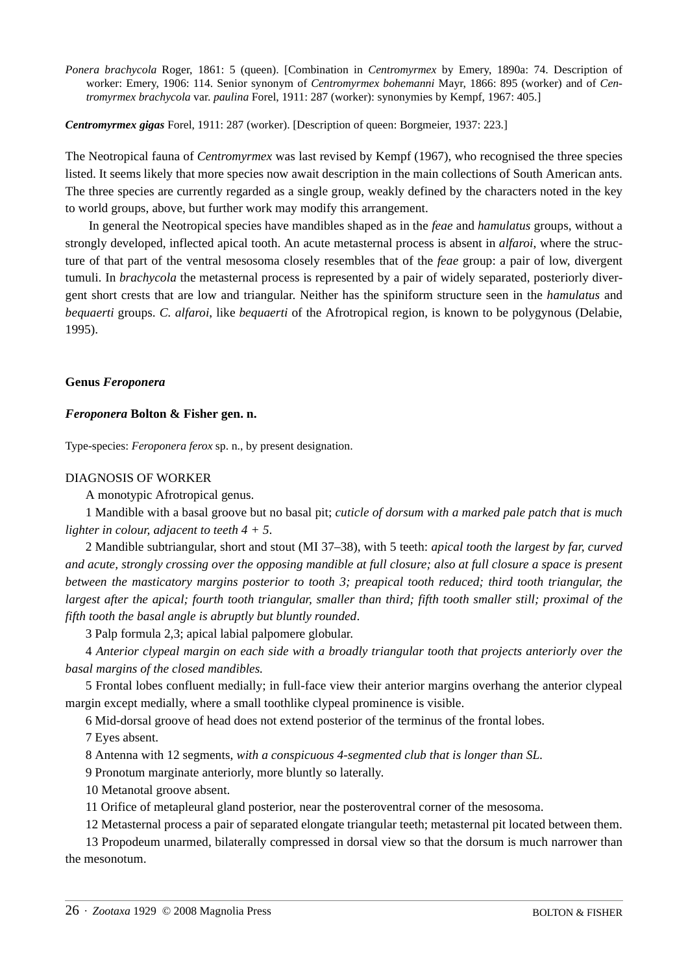*Ponera brachycola* Roger, 1861: 5 (queen). [Combination in *Centromyrmex* by Emery, 1890a: 74. Description of worker: Emery, 1906: 114. Senior synonym of *Centromyrmex bohemanni* Mayr, 1866: 895 (worker) and of *Centromyrmex brachycola* var. *paulina* Forel, 1911: 287 (worker): synonymies by Kempf, 1967: 405.]

*Centromyrmex gigas* Forel, 1911: 287 (worker). [Description of queen: Borgmeier, 1937: 223.]

The Neotropical fauna of *Centromyrmex* was last revised by Kempf (1967), who recognised the three species listed. It seems likely that more species now await description in the main collections of South American ants. The three species are currently regarded as a single group, weakly defined by the characters noted in the key to world groups, above, but further work may modify this arrangement.

 In general the Neotropical species have mandibles shaped as in the *feae* and *hamulatus* groups, without a strongly developed, inflected apical tooth. An acute metasternal process is absent in *alfaroi*, where the structure of that part of the ventral mesosoma closely resembles that of the *feae* group: a pair of low, divergent tumuli. In *brachycola* the metasternal process is represented by a pair of widely separated, posteriorly divergent short crests that are low and triangular. Neither has the spiniform structure seen in the *hamulatus* and *bequaerti* groups. *C. alfaroi*, like *bequaerti* of the Afrotropical region, is known to be polygynous (Delabie, 1995).

#### **Genus** *Feroponera*

#### *Feroponera* **Bolton & Fisher gen. n.**

Type-species: *Feroponera ferox* sp. n., by present designation.

#### DIAGNOSIS OF WORKER

A monotypic Afrotropical genus.

1 Mandible with a basal groove but no basal pit; *cuticle of dorsum with a marked pale patch that is much lighter in colour, adjacent to teeth 4 + 5*.

2 Mandible subtriangular, short and stout (MI 37–38), with 5 teeth: *apical tooth the largest by far, curved and acute, strongly crossing over the opposing mandible at full closure; also at full closure a space is present between the masticatory margins posterior to tooth 3; preapical tooth reduced; third tooth triangular, the largest after the apical; fourth tooth triangular, smaller than third; fifth tooth smaller still; proximal of the fifth tooth the basal angle is abruptly but bluntly rounded*.

3 Palp formula 2,3; apical labial palpomere globular.

4 *Anterior clypeal margin on each side with a broadly triangular tooth that projects anteriorly over the basal margins of the closed mandibles.*

5 Frontal lobes confluent medially; in full-face view their anterior margins overhang the anterior clypeal margin except medially, where a small toothlike clypeal prominence is visible.

6 Mid-dorsal groove of head does not extend posterior of the terminus of the frontal lobes.

7 Eyes absent.

8 Antenna with 12 segments, *with a conspicuous 4-segmented club that is longer than SL.*

9 Pronotum marginate anteriorly, more bluntly so laterally.

10 Metanotal groove absent.

11 Orifice of metapleural gland posterior, near the posteroventral corner of the mesosoma.

12 Metasternal process a pair of separated elongate triangular teeth; metasternal pit located between them.

13 Propodeum unarmed, bilaterally compressed in dorsal view so that the dorsum is much narrower than the mesonotum.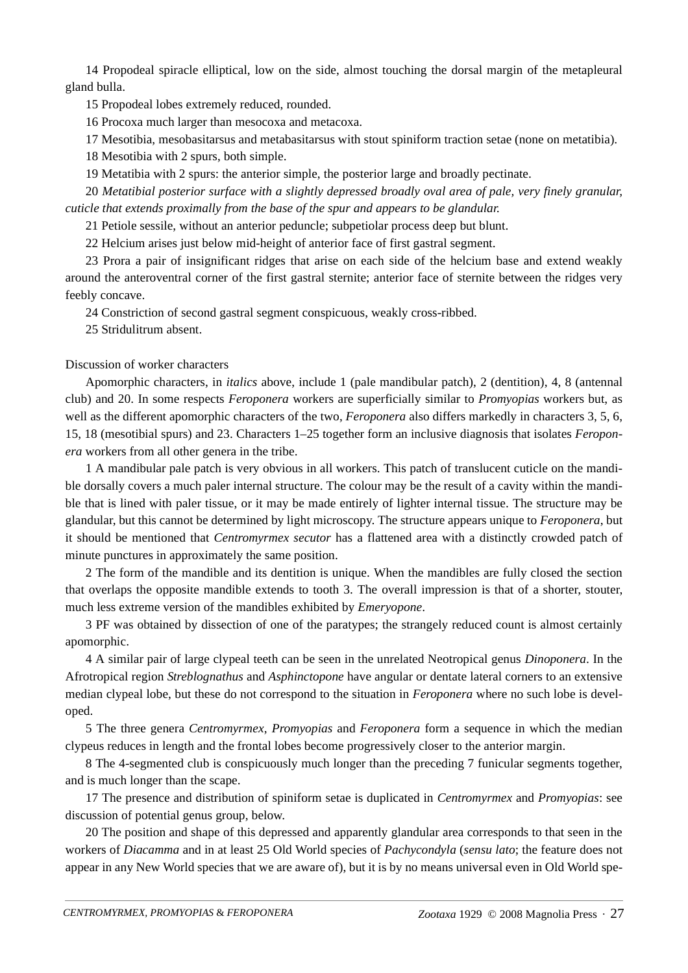14 Propodeal spiracle elliptical, low on the side, almost touching the dorsal margin of the metapleural gland bulla.

15 Propodeal lobes extremely reduced, rounded.

16 Procoxa much larger than mesocoxa and metacoxa.

17 Mesotibia, mesobasitarsus and metabasitarsus with stout spiniform traction setae (none on metatibia).

18 Mesotibia with 2 spurs, both simple.

19 Metatibia with 2 spurs: the anterior simple, the posterior large and broadly pectinate.

20 *Metatibial posterior surface with a slightly depressed broadly oval area of pale, very finely granular, cuticle that extends proximally from the base of the spur and appears to be glandular.*

21 Petiole sessile, without an anterior peduncle; subpetiolar process deep but blunt.

22 Helcium arises just below mid-height of anterior face of first gastral segment.

23 Prora a pair of insignificant ridges that arise on each side of the helcium base and extend weakly around the anteroventral corner of the first gastral sternite; anterior face of sternite between the ridges very feebly concave.

24 Constriction of second gastral segment conspicuous, weakly cross-ribbed.

25 Stridulitrum absent.

## Discussion of worker characters

Apomorphic characters, in *italics* above, include 1 (pale mandibular patch), 2 (dentition), 4, 8 (antennal club) and 20. In some respects *Feroponera* workers are superficially similar to *Promyopias* workers but, as well as the different apomorphic characters of the two, *Feroponera* also differs markedly in characters 3, 5, 6, 15, 18 (mesotibial spurs) and 23. Characters 1–25 together form an inclusive diagnosis that isolates *Feroponera* workers from all other genera in the tribe.

1 A mandibular pale patch is very obvious in all workers. This patch of translucent cuticle on the mandible dorsally covers a much paler internal structure. The colour may be the result of a cavity within the mandible that is lined with paler tissue, or it may be made entirely of lighter internal tissue. The structure may be glandular, but this cannot be determined by light microscopy. The structure appears unique to *Feroponera*, but it should be mentioned that *Centromyrmex secutor* has a flattened area with a distinctly crowded patch of minute punctures in approximately the same position.

2 The form of the mandible and its dentition is unique. When the mandibles are fully closed the section that overlaps the opposite mandible extends to tooth 3. The overall impression is that of a shorter, stouter, much less extreme version of the mandibles exhibited by *Emeryopone*.

3 PF was obtained by dissection of one of the paratypes; the strangely reduced count is almost certainly apomorphic.

4 A similar pair of large clypeal teeth can be seen in the unrelated Neotropical genus *Dinoponera*. In the Afrotropical region *Streblognathus* and *Asphinctopone* have angular or dentate lateral corners to an extensive median clypeal lobe, but these do not correspond to the situation in *Feroponera* where no such lobe is developed.

5 The three genera *Centromyrmex*, *Promyopias* and *Feroponera* form a sequence in which the median clypeus reduces in length and the frontal lobes become progressively closer to the anterior margin.

8 The 4-segmented club is conspicuously much longer than the preceding 7 funicular segments together, and is much longer than the scape.

17 The presence and distribution of spiniform setae is duplicated in *Centromyrmex* and *Promyopias*: see discussion of potential genus group, below.

20 The position and shape of this depressed and apparently glandular area corresponds to that seen in the workers of *Diacamma* and in at least 25 Old World species of *Pachycondyla* (*sensu lato*; the feature does not appear in any New World species that we are aware of), but it is by no means universal even in Old World spe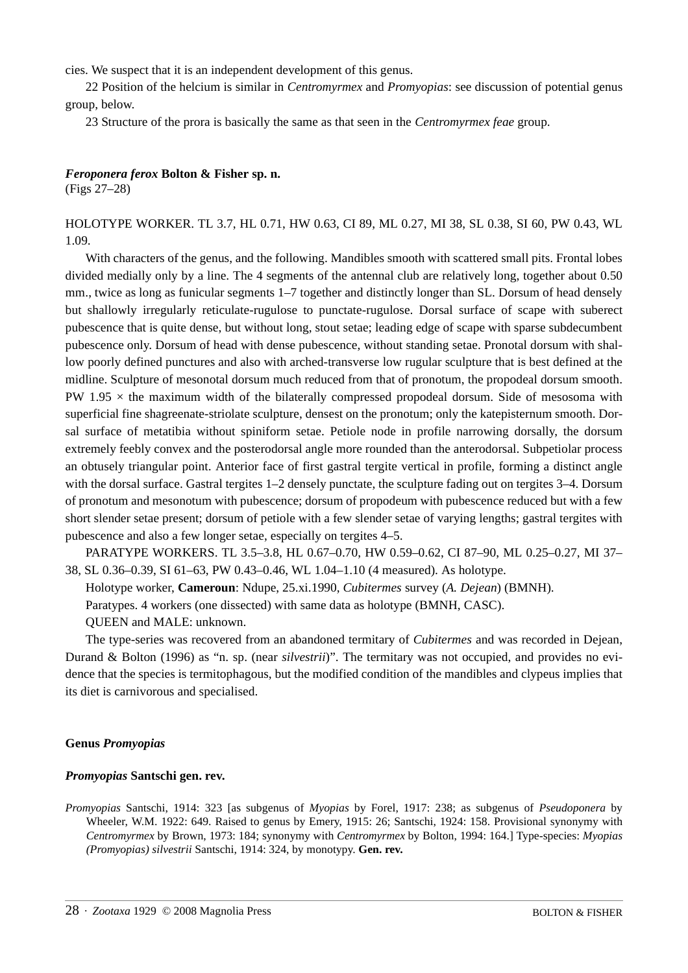cies. We suspect that it is an independent development of this genus.

22 Position of the helcium is similar in *Centromyrmex* and *Promyopias*: see discussion of potential genus group, below.

23 Structure of the prora is basically the same as that seen in the *Centromyrmex feae* group.

#### *Feroponera ferox* **Bolton & Fisher sp. n.**

(Figs 27–28)

### HOLOTYPE WORKER. TL 3.7, HL 0.71, HW 0.63, CI 89, ML 0.27, MI 38, SL 0.38, SI 60, PW 0.43, WL 1.09.

With characters of the genus, and the following. Mandibles smooth with scattered small pits. Frontal lobes divided medially only by a line. The 4 segments of the antennal club are relatively long, together about 0.50 mm., twice as long as funicular segments 1–7 together and distinctly longer than SL. Dorsum of head densely but shallowly irregularly reticulate-rugulose to punctate-rugulose. Dorsal surface of scape with suberect pubescence that is quite dense, but without long, stout setae; leading edge of scape with sparse subdecumbent pubescence only. Dorsum of head with dense pubescence, without standing setae. Pronotal dorsum with shallow poorly defined punctures and also with arched-transverse low rugular sculpture that is best defined at the midline. Sculpture of mesonotal dorsum much reduced from that of pronotum, the propodeal dorsum smooth. PW  $1.95 \times$  the maximum width of the bilaterally compressed propodeal dorsum. Side of mesosoma with superficial fine shagreenate-striolate sculpture, densest on the pronotum; only the katepisternum smooth. Dorsal surface of metatibia without spiniform setae. Petiole node in profile narrowing dorsally, the dorsum extremely feebly convex and the posterodorsal angle more rounded than the anterodorsal. Subpetiolar process an obtusely triangular point. Anterior face of first gastral tergite vertical in profile, forming a distinct angle with the dorsal surface. Gastral tergites  $1-2$  densely punctate, the sculpture fading out on tergites  $3-4$ . Dorsum of pronotum and mesonotum with pubescence; dorsum of propodeum with pubescence reduced but with a few short slender setae present; dorsum of petiole with a few slender setae of varying lengths; gastral tergites with pubescence and also a few longer setae, especially on tergites 4–5.

PARATYPE WORKERS. TL 3.5–3.8, HL 0.67–0.70, HW 0.59–0.62, CI 87–90, ML 0.25–0.27, MI 37– 38, SL 0.36–0.39, SI 61–63, PW 0.43–0.46, WL 1.04–1.10 (4 measured). As holotype.

Holotype worker, **Cameroun**: Ndupe, 25.xi.1990, *Cubitermes* survey (*A. Dejean*) (BMNH).

Paratypes. 4 workers (one dissected) with same data as holotype (BMNH, CASC).

QUEEN and MALE: unknown.

The type-series was recovered from an abandoned termitary of *Cubitermes* and was recorded in Dejean, Durand & Bolton (1996) as "n. sp. (near *silvestrii*)". The termitary was not occupied, and provides no evidence that the species is termitophagous, but the modified condition of the mandibles and clypeus implies that its diet is carnivorous and specialised.

#### **Genus** *Promyopias*

#### *Promyopias* **Santschi gen. rev.**

*Promyopias* Santschi, 1914: 323 [as subgenus of *Myopias* by Forel, 1917: 238; as subgenus of *Pseudoponera* by Wheeler, W.M. 1922: 649. Raised to genus by Emery, 1915: 26; Santschi, 1924: 158. Provisional synonymy with *Centromyrmex* by Brown, 1973: 184; synonymy with *Centromyrmex* by Bolton, 1994: 164.] Type-species: *Myopias (Promyopias) silvestrii* Santschi, 1914: 324, by monotypy. **Gen. rev.**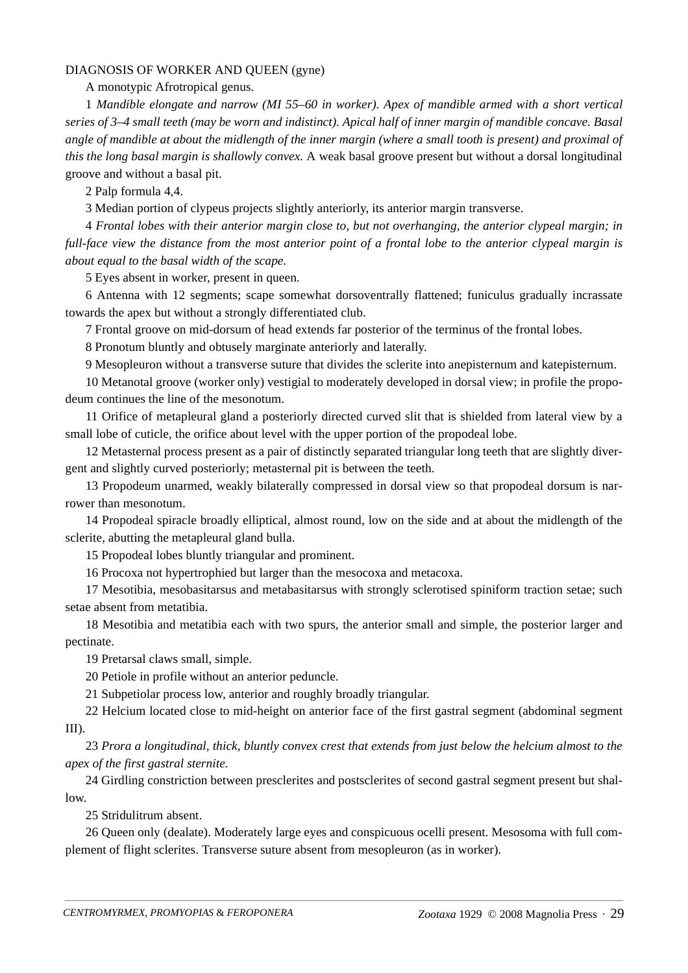#### DIAGNOSIS OF WORKER AND QUEEN (gyne)

A monotypic Afrotropical genus.

1 *Mandible elongate and narrow (MI 55–60 in worker). Apex of mandible armed with a short vertical series of 3–4 small teeth (may be worn and indistinct). Apical half of inner margin of mandible concave. Basal angle of mandible at about the midlength of the inner margin (where a small tooth is present) and proximal of this the long basal margin is shallowly convex.* A weak basal groove present but without a dorsal longitudinal groove and without a basal pit.

2 Palp formula 4,4.

3 Median portion of clypeus projects slightly anteriorly, its anterior margin transverse.

4 *Frontal lobes with their anterior margin close to, but not overhanging, the anterior clypeal margin; in full-face view the distance from the most anterior point of a frontal lobe to the anterior clypeal margin is about equal to the basal width of the scape.*

5 Eyes absent in worker, present in queen.

6 Antenna with 12 segments; scape somewhat dorsoventrally flattened; funiculus gradually incrassate towards the apex but without a strongly differentiated club.

7 Frontal groove on mid-dorsum of head extends far posterior of the terminus of the frontal lobes.

8 Pronotum bluntly and obtusely marginate anteriorly and laterally.

9 Mesopleuron without a transverse suture that divides the sclerite into anepisternum and katepisternum.

10 Metanotal groove (worker only) vestigial to moderately developed in dorsal view; in profile the propodeum continues the line of the mesonotum.

11 Orifice of metapleural gland a posteriorly directed curved slit that is shielded from lateral view by a small lobe of cuticle, the orifice about level with the upper portion of the propodeal lobe.

12 Metasternal process present as a pair of distinctly separated triangular long teeth that are slightly divergent and slightly curved posteriorly; metasternal pit is between the teeth.

13 Propodeum unarmed, weakly bilaterally compressed in dorsal view so that propodeal dorsum is narrower than mesonotum.

14 Propodeal spiracle broadly elliptical, almost round, low on the side and at about the midlength of the sclerite, abutting the metapleural gland bulla.

15 Propodeal lobes bluntly triangular and prominent.

16 Procoxa not hypertrophied but larger than the mesocoxa and metacoxa.

17 Mesotibia, mesobasitarsus and metabasitarsus with strongly sclerotised spiniform traction setae; such setae absent from metatibia.

18 Mesotibia and metatibia each with two spurs, the anterior small and simple, the posterior larger and pectinate.

19 Pretarsal claws small, simple.

20 Petiole in profile without an anterior peduncle.

21 Subpetiolar process low, anterior and roughly broadly triangular.

22 Helcium located close to mid-height on anterior face of the first gastral segment (abdominal segment III).

23 *Prora a longitudinal, thick, bluntly convex crest that extends from just below the helcium almost to the apex of the first gastral sternite.*

24 Girdling constriction between presclerites and postsclerites of second gastral segment present but shallow.

25 Stridulitrum absent.

26 Queen only (dealate). Moderately large eyes and conspicuous ocelli present. Mesosoma with full complement of flight sclerites. Transverse suture absent from mesopleuron (as in worker).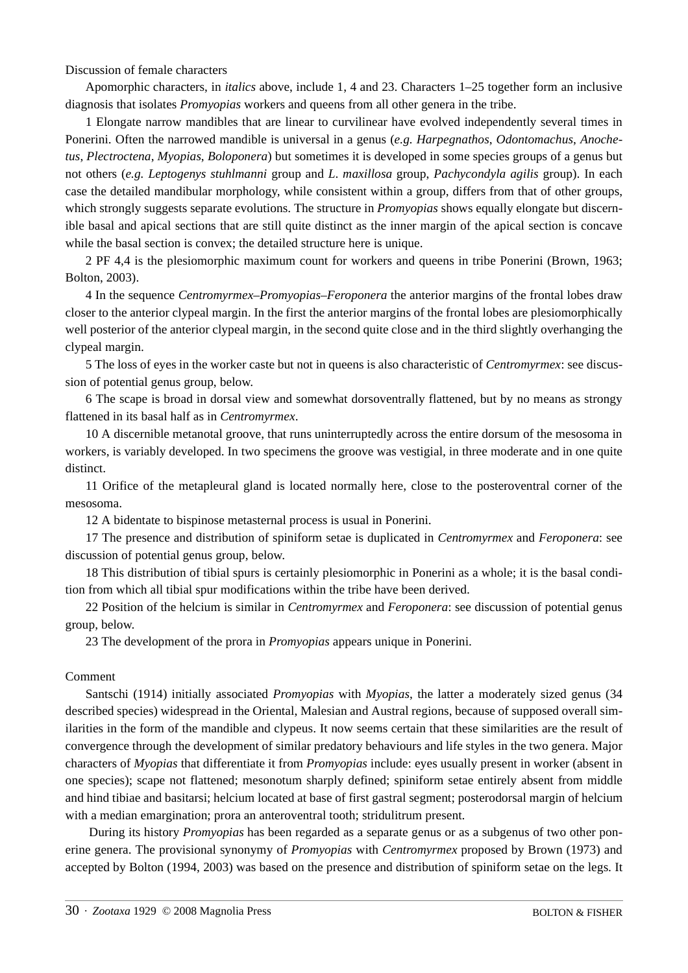Discussion of female characters

Apomorphic characters, in *italics* above, include 1, 4 and 23. Characters 1–25 together form an inclusive diagnosis that isolates *Promyopias* workers and queens from all other genera in the tribe.

1 Elongate narrow mandibles that are linear to curvilinear have evolved independently several times in Ponerini. Often the narrowed mandible is universal in a genus (*e.g. Harpegnathos*, *Odontomachus*, *Anochetus*, *Plectroctena*, *Myopias*, *Boloponera*) but sometimes it is developed in some species groups of a genus but not others (*e.g. Leptogenys stuhlmanni* group and *L*. *maxillosa* group, *Pachycondyla agilis* group). In each case the detailed mandibular morphology, while consistent within a group, differs from that of other groups, which strongly suggests separate evolutions. The structure in *Promyopias* shows equally elongate but discernible basal and apical sections that are still quite distinct as the inner margin of the apical section is concave while the basal section is convex; the detailed structure here is unique.

2 PF 4,4 is the plesiomorphic maximum count for workers and queens in tribe Ponerini (Brown, 1963; Bolton, 2003).

4 In the sequence *Centromyrmex–Promyopias–Feroponera* the anterior margins of the frontal lobes draw closer to the anterior clypeal margin. In the first the anterior margins of the frontal lobes are plesiomorphically well posterior of the anterior clypeal margin, in the second quite close and in the third slightly overhanging the clypeal margin.

5 The loss of eyes in the worker caste but not in queens is also characteristic of *Centromyrmex*: see discussion of potential genus group, below.

6 The scape is broad in dorsal view and somewhat dorsoventrally flattened, but by no means as strongy flattened in its basal half as in *Centromyrmex*.

10 A discernible metanotal groove, that runs uninterruptedly across the entire dorsum of the mesosoma in workers, is variably developed. In two specimens the groove was vestigial, in three moderate and in one quite distinct.

11 Orifice of the metapleural gland is located normally here, close to the posteroventral corner of the mesosoma.

12 A bidentate to bispinose metasternal process is usual in Ponerini.

17 The presence and distribution of spiniform setae is duplicated in *Centromyrmex* and *Feroponera*: see discussion of potential genus group, below.

18 This distribution of tibial spurs is certainly plesiomorphic in Ponerini as a whole; it is the basal condition from which all tibial spur modifications within the tribe have been derived.

22 Position of the helcium is similar in *Centromyrmex* and *Feroponera*: see discussion of potential genus group, below.

23 The development of the prora in *Promyopias* appears unique in Ponerini.

#### Comment

Santschi (1914) initially associated *Promyopias* with *Myopias*, the latter a moderately sized genus (34 described species) widespread in the Oriental, Malesian and Austral regions, because of supposed overall similarities in the form of the mandible and clypeus. It now seems certain that these similarities are the result of convergence through the development of similar predatory behaviours and life styles in the two genera. Major characters of *Myopias* that differentiate it from *Promyopias* include: eyes usually present in worker (absent in one species); scape not flattened; mesonotum sharply defined; spiniform setae entirely absent from middle and hind tibiae and basitarsi; helcium located at base of first gastral segment; posterodorsal margin of helcium with a median emargination; prora an anteroventral tooth; stridulitrum present.

 During its history *Promyopias* has been regarded as a separate genus or as a subgenus of two other ponerine genera. The provisional synonymy of *Promyopias* with *Centromyrmex* proposed by Brown (1973) and accepted by Bolton (1994, 2003) was based on the presence and distribution of spiniform setae on the legs. It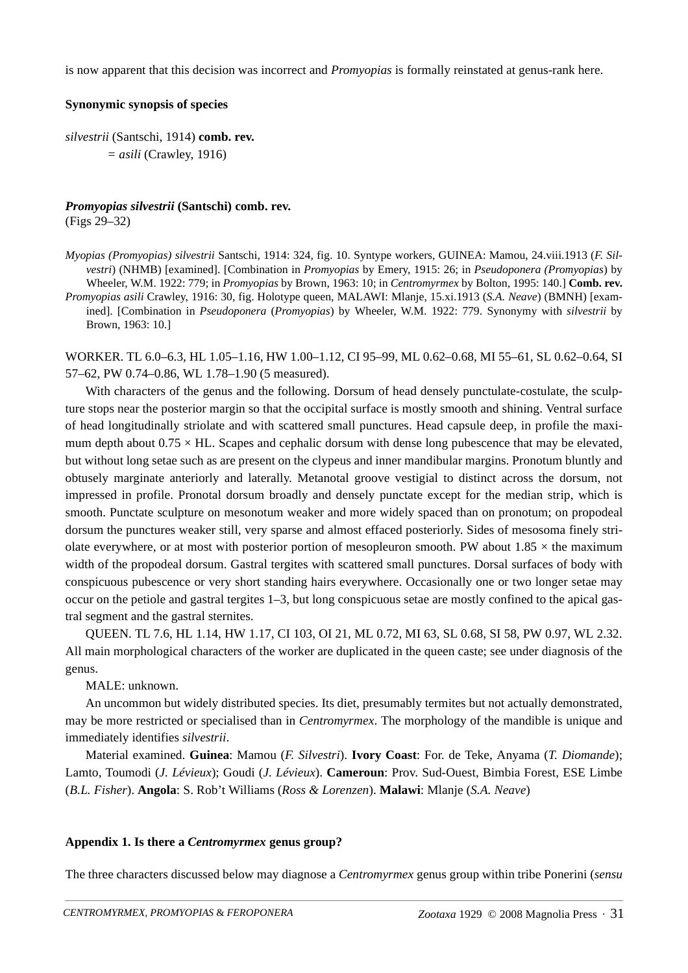is now apparent that this decision was incorrect and *Promyopias* is formally reinstated at genus-rank here.

#### **Synonymic synopsis of species**

*silvestrii* (Santschi, 1914) **comb. rev.** *= asili* (Crawley, 1916)

# *Promyopias silvestrii* **(Santschi) comb. rev.**

(Figs 29–32)

*Myopias (Promyopias) silvestrii* Santschi, 1914: 324, fig. 10. Syntype workers, GUINEA: Mamou, 24.viii.1913 (*F. Silvestri*) (NHMB) [examined]. [Combination in *Promyopias* by Emery, 1915: 26; in *Pseudoponera (Promyopias*) by Wheeler, W.M. 1922: 779; in *Promyopias* by Brown, 1963: 10; in *Centromyrmex* by Bolton, 1995: 140.] **Comb. rev.** *Promyopias asili* Crawley, 1916: 30, fig. Holotype queen, MALAWI: Mlanje, 15.xi.1913 (*S.A. Neave*) (BMNH) [examined]. [Combination in *Pseudoponera* (*Promyopias*) by Wheeler, W.M. 1922: 779. Synonymy with *silvestrii* by Brown, 1963: 10.]

WORKER. TL 6.0–6.3, HL 1.05–1.16, HW 1.00–1.12, CI 95–99, ML 0.62–0.68, MI 55–61, SL 0.62–0.64, SI 57–62, PW 0.74–0.86, WL 1.78–1.90 (5 measured).

With characters of the genus and the following. Dorsum of head densely punctulate-costulate, the sculpture stops near the posterior margin so that the occipital surface is mostly smooth and shining. Ventral surface of head longitudinally striolate and with scattered small punctures. Head capsule deep, in profile the maximum depth about  $0.75 \times$  HL. Scapes and cephalic dorsum with dense long pubescence that may be elevated, but without long setae such as are present on the clypeus and inner mandibular margins. Pronotum bluntly and obtusely marginate anteriorly and laterally. Metanotal groove vestigial to distinct across the dorsum, not impressed in profile. Pronotal dorsum broadly and densely punctate except for the median strip, which is smooth. Punctate sculpture on mesonotum weaker and more widely spaced than on pronotum; on propodeal dorsum the punctures weaker still, very sparse and almost effaced posteriorly. Sides of mesosoma finely striolate everywhere, or at most with posterior portion of mesopleuron smooth. PW about  $1.85 \times$  the maximum width of the propodeal dorsum. Gastral tergites with scattered small punctures. Dorsal surfaces of body with conspicuous pubescence or very short standing hairs everywhere. Occasionally one or two longer setae may occur on the petiole and gastral tergites 1–3, but long conspicuous setae are mostly confined to the apical gastral segment and the gastral sternites.

QUEEN. TL 7.6, HL 1.14, HW 1.17, CI 103, OI 21, ML 0.72, MI 63, SL 0.68, SI 58, PW 0.97, WL 2.32. All main morphological characters of the worker are duplicated in the queen caste; see under diagnosis of the genus.

MALE: unknown.

An uncommon but widely distributed species. Its diet, presumably termites but not actually demonstrated, may be more restricted or specialised than in *Centromyrmex*. The morphology of the mandible is unique and immediately identifies *silvestrii*.

Material examined. **Guinea**: Mamou (*F. Silvestri*). **Ivory Coast**: For. de Teke, Anyama (*T. Diomande*); Lamto, Toumodi (*J. Lévieux*); Goudi (*J. Lévieux*). **Cameroun**: Prov. Sud-Ouest, Bimbia Forest, ESE Limbe (*B.L. Fisher*). **Angola**: S. Rob't Williams (*Ross & Lorenzen*). **Malawi**: Mlanje (*S.A. Neave*)

#### **Appendix 1. Is there a** *Centromyrmex* **genus group?**

The three characters discussed below may diagnose a *Centromyrmex* genus group within tribe Ponerini (*sensu*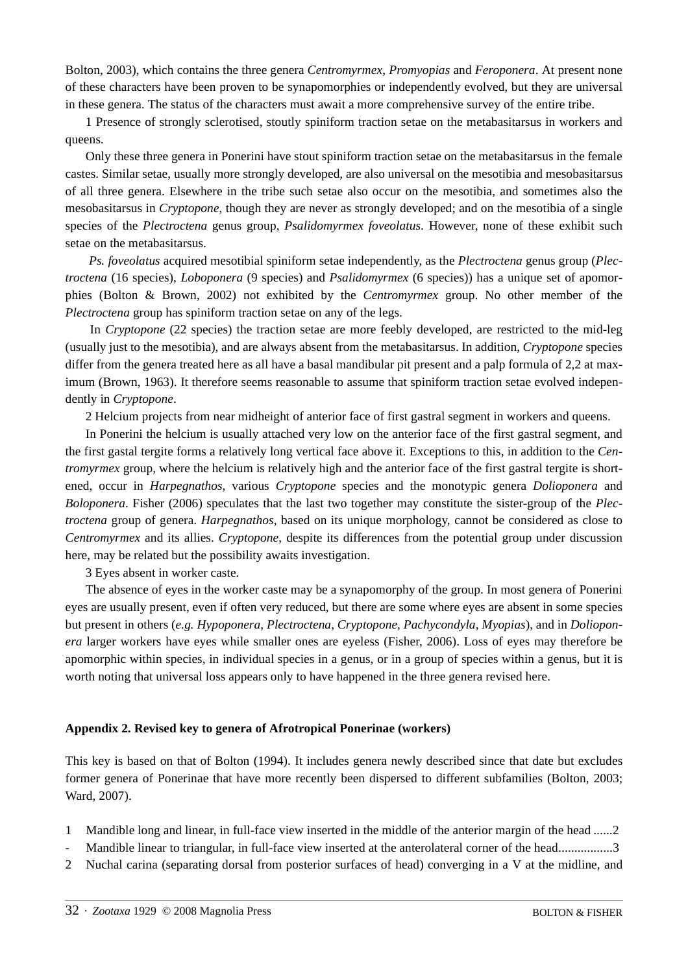Bolton, 2003), which contains the three genera *Centromyrmex*, *Promyopias* and *Feroponera*. At present none of these characters have been proven to be synapomorphies or independently evolved, but they are universal in these genera. The status of the characters must await a more comprehensive survey of the entire tribe.

1 Presence of strongly sclerotised, stoutly spiniform traction setae on the metabasitarsus in workers and queens.

Only these three genera in Ponerini have stout spiniform traction setae on the metabasitarsus in the female castes. Similar setae, usually more strongly developed, are also universal on the mesotibia and mesobasitarsus of all three genera. Elsewhere in the tribe such setae also occur on the mesotibia, and sometimes also the mesobasitarsus in *Cryptopone*, though they are never as strongly developed; and on the mesotibia of a single species of the *Plectroctena* genus group, *Psalidomyrmex foveolatus*. However, none of these exhibit such setae on the metabasitarsus.

*Ps. foveolatus* acquired mesotibial spiniform setae independently, as the *Plectroctena* genus group (*Plectroctena* (16 species), *Loboponera* (9 species) and *Psalidomyrmex* (6 species)) has a unique set of apomorphies (Bolton & Brown, 2002) not exhibited by the *Centromyrmex* group. No other member of the *Plectroctena* group has spiniform traction setae on any of the legs.

 In *Cryptopone* (22 species) the traction setae are more feebly developed, are restricted to the mid-leg (usually just to the mesotibia), and are always absent from the metabasitarsus. In addition, *Cryptopone* species differ from the genera treated here as all have a basal mandibular pit present and a palp formula of 2,2 at maximum (Brown, 1963). It therefore seems reasonable to assume that spiniform traction setae evolved independently in *Cryptopone*.

2 Helcium projects from near midheight of anterior face of first gastral segment in workers and queens.

In Ponerini the helcium is usually attached very low on the anterior face of the first gastral segment, and the first gastal tergite forms a relatively long vertical face above it. Exceptions to this, in addition to the *Centromyrmex* group, where the helcium is relatively high and the anterior face of the first gastral tergite is shortened, occur in *Harpegnathos*, various *Cryptopone* species and the monotypic genera *Dolioponera* and *Boloponera*. Fisher (2006) speculates that the last two together may constitute the sister-group of the *Plectroctena* group of genera. *Harpegnathos*, based on its unique morphology, cannot be considered as close to *Centromyrmex* and its allies. *Cryptopone*, despite its differences from the potential group under discussion here, may be related but the possibility awaits investigation.

3 Eyes absent in worker caste.

The absence of eyes in the worker caste may be a synapomorphy of the group. In most genera of Ponerini eyes are usually present, even if often very reduced, but there are some where eyes are absent in some species but present in others (*e.g. Hypoponera*, *Plectroctena*, *Cryptopone, Pachycondyla, Myopias*), and in *Dolioponera* larger workers have eyes while smaller ones are eyeless (Fisher, 2006). Loss of eyes may therefore be apomorphic within species, in individual species in a genus, or in a group of species within a genus, but it is worth noting that universal loss appears only to have happened in the three genera revised here.

#### **Appendix 2. Revised key to genera of Afrotropical Ponerinae (workers)**

This key is based on that of Bolton (1994). It includes genera newly described since that date but excludes former genera of Ponerinae that have more recently been dispersed to different subfamilies (Bolton, 2003; Ward, 2007).

- 1 Mandible long and linear, in full-face view inserted in the middle of the anterior margin of the head ......2
- Mandible linear to triangular, in full-face view inserted at the anterolateral corner of the head.................3
- 2 Nuchal carina (separating dorsal from posterior surfaces of head) converging in a V at the midline, and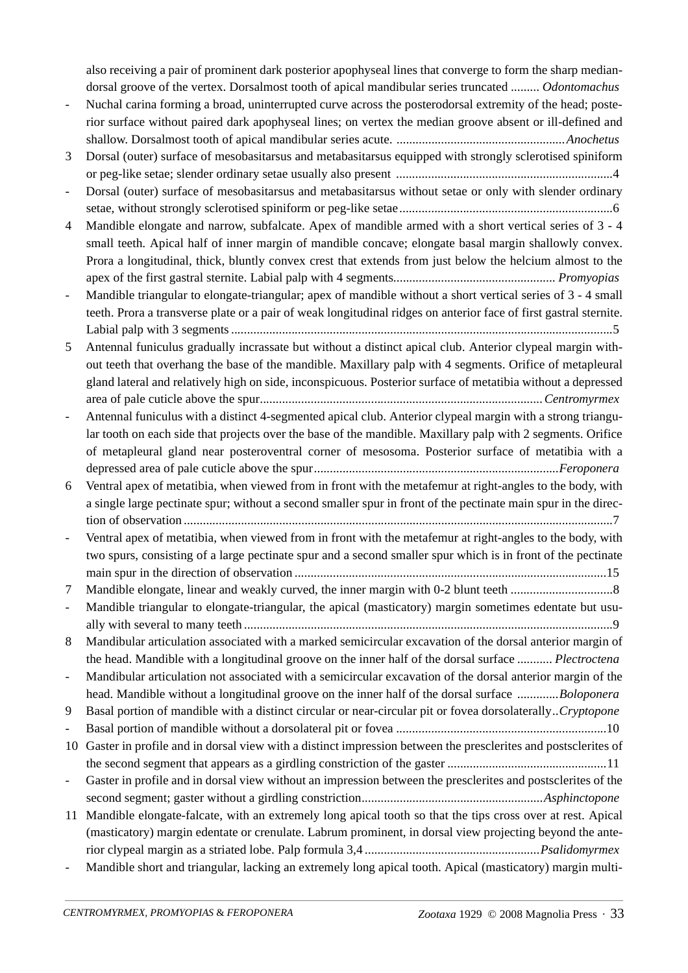also receiving a pair of prominent dark posterior apophyseal lines that converge to form the sharp mediandorsal groove of the vertex. Dorsalmost tooth of apical mandibular series truncated *......... Odontomachus*

- Nuchal carina forming a broad, uninterrupted curve across the posterodorsal extremity of the head; posterior surface without paired dark apophyseal lines; on vertex the median groove absent or ill-defined and shallow. Dorsalmost tooth of apical mandibular series acute. *.....................................................Anochetus*
- 3 Dorsal (outer) surface of mesobasitarsus and metabasitarsus equipped with strongly sclerotised spiniform or peg-like setae; slender ordinary setae usually also present ....................................................................4
- Dorsal (outer) surface of mesobasitarsus and metabasitarsus without setae or only with slender ordinary setae, without strongly sclerotised spiniform or peg-like setae...................................................................6
- 4 Mandible elongate and narrow, subfalcate. Apex of mandible armed with a short vertical series of 3 4 small teeth. Apical half of inner margin of mandible concave; elongate basal margin shallowly convex. Prora a longitudinal, thick, bluntly convex crest that extends from just below the helcium almost to the apex of the first gastral sternite. Labial palp with 4 segments*................................................... Promyopias*
- Mandible triangular to elongate-triangular; apex of mandible without a short vertical series of 3 4 small teeth. Prora a transverse plate or a pair of weak longitudinal ridges on anterior face of first gastral sternite. Labial palp with 3 segments ........................................................................................................................5
- 5 Antennal funiculus gradually incrassate but without a distinct apical club. Anterior clypeal margin without teeth that overhang the base of the mandible. Maxillary palp with 4 segments. Orifice of metapleural gland lateral and relatively high on side, inconspicuous. Posterior surface of metatibia without a depressed area of pale cuticle above the spur*.........................................................................................Centromyrmex*
- Antennal funiculus with a distinct 4-segmented apical club. Anterior clypeal margin with a strong triangular tooth on each side that projects over the base of the mandible. Maxillary palp with 2 segments. Orifice of metapleural gland near posteroventral corner of mesosoma. Posterior surface of metatibia with a depressed area of pale cuticle above the spur*.............................................................................Feroponera*
- 6 Ventral apex of metatibia, when viewed from in front with the metafemur at right-angles to the body, with a single large pectinate spur; without a second smaller spur in front of the pectinate main spur in the direction of observation .......................................................................................................................................7
- Ventral apex of metatibia, when viewed from in front with the metafemur at right-angles to the body, with two spurs, consisting of a large pectinate spur and a second smaller spur which is in front of the pectinate main spur in the direction of observation ..................................................................................................15

7 Mandible elongate, linear and weakly curved, the inner margin with 0-2 blunt teeth ................................8

Mandible triangular to elongate-triangular, the apical (masticatory) margin sometimes edentate but usually with several to many teeth ....................................................................................................................9

8 Mandibular articulation associated with a marked semicircular excavation of the dorsal anterior margin of the head. Mandible with a longitudinal groove on the inner half of the dorsal surface *........... Plectroctena* - Mandibular articulation not associated with a semicircular excavation of the dorsal anterior margin of the

head. Mandible without a longitudinal groove on the inner half of the dorsal surface *.............Boloponera* 9 Basal portion of mandible with a distinct circular or near-circular pit or fovea dorsolaterally..*Cryptopone*

- Basal portion of mandible without a dorsolateral pit or fovea ..................................................................10 10 Gaster in profile and in dorsal view with a distinct impression between the presclerites and postsclerites of the second segment that appears as a girdling constriction of the gaster ..................................................11

- Gaster in profile and in dorsal view without an impression between the presclerites and postsclerites of the second segment; gaster without a girdling constriction*.........................................................Asphinctopone*
- 11 Mandible elongate-falcate, with an extremely long apical tooth so that the tips cross over at rest. Apical (masticatory) margin edentate or crenulate. Labrum prominent, in dorsal view projecting beyond the anterior clypeal margin as a striated lobe. Palp formula 3,4 *.......................................................Psalidomyrmex*
- Mandible short and triangular, lacking an extremely long apical tooth. Apical (masticatory) margin multi-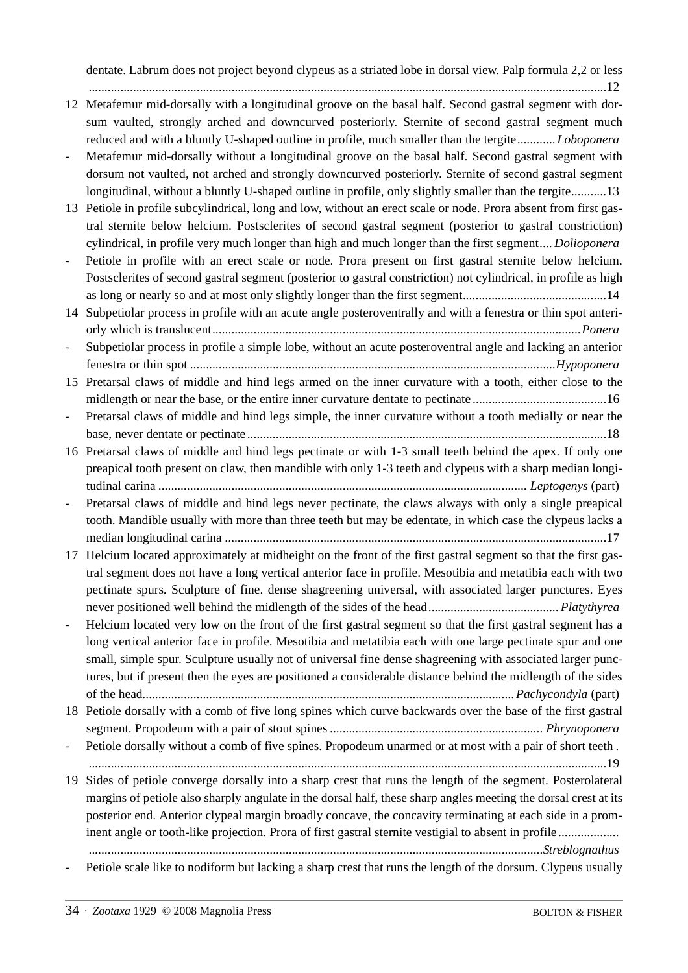dentate. Labrum does not project beyond clypeus as a striated lobe in dorsal view. Palp formula 2,2 or less

...................................................................................................................................................................12

- 12 Metafemur mid-dorsally with a longitudinal groove on the basal half. Second gastral segment with dorsum vaulted, strongly arched and downcurved posteriorly. Sternite of second gastral segment much reduced and with a bluntly U-shaped outline in profile, much smaller than the tergite*............ Loboponera*
- Metafemur mid-dorsally without a longitudinal groove on the basal half. Second gastral segment with dorsum not vaulted, not arched and strongly downcurved posteriorly. Sternite of second gastral segment longitudinal, without a bluntly U-shaped outline in profile, only slightly smaller than the tergite...........13
- 13 Petiole in profile subcylindrical, long and low, without an erect scale or node. Prora absent from first gastral sternite below helcium. Postsclerites of second gastral segment (posterior to gastral constriction) cylindrical, in profile very much longer than high and much longer than the first segment*.... Dolioponera*
- Petiole in profile with an erect scale or node. Prora present on first gastral sternite below helcium. Postsclerites of second gastral segment (posterior to gastral constriction) not cylindrical, in profile as high as long or nearly so and at most only slightly longer than the first segment.............................................14

14 Subpetiolar process in profile with an acute angle posteroventrally and with a fenestra or thin spot anteriorly which is translucent*....................................................................................................................Ponera*

Subpetiolar process in profile a simple lobe, without an acute posteroventral angle and lacking an anterior fenestra or thin spot *...................................................................................................................Hypoponera*

15 Pretarsal claws of middle and hind legs armed on the inner curvature with a tooth, either close to the midlength or near the base, or the entire inner curvature dentate to pectinate ..........................................16

- Pretarsal claws of middle and hind legs simple, the inner curvature without a tooth medially or near the base, never dentate or pectinate .................................................................................................................18
- 16 Pretarsal claws of middle and hind legs pectinate or with 1-3 small teeth behind the apex. If only one preapical tooth present on claw, then mandible with only 1-3 teeth and clypeus with a sharp median longitudinal carina *.................................................................................................................... Leptogenys* (part)
- Pretarsal claws of middle and hind legs never pectinate, the claws always with only a single preapical tooth. Mandible usually with more than three teeth but may be edentate, in which case the clypeus lacks a median longitudinal carina ........................................................................................................................17
- 17 Helcium located approximately at midheight on the front of the first gastral segment so that the first gastral segment does not have a long vertical anterior face in profile. Mesotibia and metatibia each with two pectinate spurs. Sculpture of fine. dense shagreening universal, with associated larger punctures. Eyes never positioned well behind the midlength of the sides of the head*......................................... Platythyrea*
- Helcium located very low on the front of the first gastral segment so that the first gastral segment has a long vertical anterior face in profile. Mesotibia and metatibia each with one large pectinate spur and one small, simple spur. Sculpture usually not of universal fine dense shagreening with associated larger punctures, but if present then the eyes are positioned a considerable distance behind the midlength of the sides of the head*.....................................................................................................................Pachycondyla* (part)

18 Petiole dorsally with a comb of five long spines which curve backwards over the base of the first gastral segment. Propodeum with a pair of stout spines *................................................................... Phrynoponera*

Petiole dorsally without a comb of five spines. Propodeum unarmed or at most with a pair of short teeth. ...................................................................................................................................................................19

19 Sides of petiole converge dorsally into a sharp crest that runs the length of the segment. Posterolateral margins of petiole also sharply angulate in the dorsal half, these sharp angles meeting the dorsal crest at its posterior end. Anterior clypeal margin broadly concave, the concavity terminating at each side in a prominent angle or tooth-like projection. Prora of first gastral sternite vestigial to absent in profile ................... ...............................................................................................................................................*Streblognathus*

Petiole scale like to nodiform but lacking a sharp crest that runs the length of the dorsum. Clypeus usually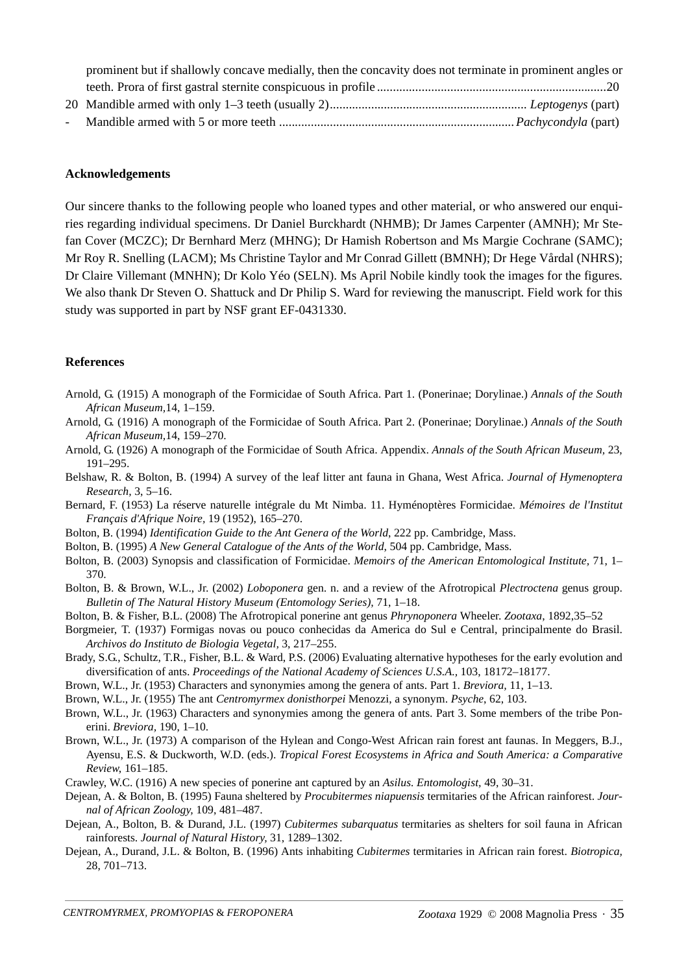| prominent but if shallowly concave medially, then the concavity does not terminate in prominent angles or |  |
|-----------------------------------------------------------------------------------------------------------|--|
|                                                                                                           |  |
|                                                                                                           |  |
|                                                                                                           |  |

#### **Acknowledgements**

Our sincere thanks to the following people who loaned types and other material, or who answered our enquiries regarding individual specimens. Dr Daniel Burckhardt (NHMB); Dr James Carpenter (AMNH); Mr Stefan Cover (MCZC); Dr Bernhard Merz (MHNG); Dr Hamish Robertson and Ms Margie Cochrane (SAMC); Mr Roy R. Snelling (LACM); Ms Christine Taylor and Mr Conrad Gillett (BMNH); Dr Hege Vårdal (NHRS); Dr Claire Villemant (MNHN); Dr Kolo Yéo (SELN). Ms April Nobile kindly took the images for the figures. We also thank Dr Steven O. Shattuck and Dr Philip S. Ward for reviewing the manuscript. Field work for this study was supported in part by NSF grant EF-0431330.

#### **References**

- Arnold, G. (1915) A monograph of the Formicidae of South Africa. Part 1. (Ponerinae; Dorylinae.) *Annals of the South African Museum,*14, 1–159.
- Arnold, G. (1916) A monograph of the Formicidae of South Africa. Part 2. (Ponerinae; Dorylinae.) *Annals of the South African Museum,*14, 159–270.
- Arnold, G. (1926) A monograph of the Formicidae of South Africa. Appendix. *Annals of the South African Museum,* 23, 191–295.
- Belshaw, R. & Bolton, B. (1994) A survey of the leaf litter ant fauna in Ghana, West Africa. *Journal of Hymenoptera Research,* 3, 5–16.
- Bernard, F. (1953) La réserve naturelle intégrale du Mt Nimba. 11. Hyménoptères Formicidae. *Mémoires de l'Institut Français d'Afrique Noire,* 19 (1952), 165–270.
- Bolton, B. (1994) *Identification Guide to the Ant Genera of the World*, 222 pp. Cambridge, Mass.
- Bolton, B. (1995) *A New General Catalogue of the Ants of the World*, 504 pp. Cambridge, Mass.
- Bolton, B. (2003) Synopsis and classification of Formicidae. *Memoirs of the American Entomological Institute,* 71, 1– 370.
- Bolton, B. & Brown, W.L., Jr. (2002) *Loboponera* gen. n. and a review of the Afrotropical *Plectroctena* genus group. *Bulletin of The Natural History Museum (Entomology Series),* 71, 1–18.
- Bolton, B. & Fisher, B.L. (2008) The Afrotropical ponerine ant genus *Phrynoponera* Wheeler. *Zootaxa*, 1892,35–52
- Borgmeier, T. (1937) Formigas novas ou pouco conhecidas da America do Sul e Central, principalmente do Brasil. *Archivos do Instituto de Biologia Vegetal,* 3, 217–255.
- Brady, S.G., Schultz, T.R., Fisher, B.L. & Ward, P.S. (2006) Evaluating alternative hypotheses for the early evolution and diversification of ants. *Proceedings of the National Academy of Sciences U.S.A.,* 103, 18172–18177.
- Brown, W.L., Jr. (1953) Characters and synonymies among the genera of ants. Part 1. *Breviora,* 11, 1–13.
- Brown, W.L., Jr. (1955) The ant *Centromyrmex donisthorpei* Menozzi, a synonym. *Psyche*, 62, 103.
- Brown, W.L., Jr. (1963) Characters and synonymies among the genera of ants. Part 3. Some members of the tribe Ponerini. *Breviora,* 190, 1–10.
- Brown, W.L., Jr. (1973) A comparison of the Hylean and Congo-West African rain forest ant faunas. In Meggers, B.J., Ayensu, E.S. & Duckworth, W.D. (eds.). *Tropical Forest Ecosystems in Africa and South America: a Comparative Review*, 161–185.
- Crawley, W.C. (1916) A new species of ponerine ant captured by an *Asilus. Entomologist,* 49, 30–31.
- Dejean, A. & Bolton, B. (1995) Fauna sheltered by *Procubitermes niapuensis* termitaries of the African rainforest. *Journal of African Zoology,* 109, 481–487.
- Dejean, A., Bolton, B. & Durand, J.L. (1997) *Cubitermes subarquatus* termitaries as shelters for soil fauna in African rainforests. *Journal of Natural History,* 31, 1289–1302.
- Dejean, A., Durand, J.L. & Bolton, B. (1996) Ants inhabiting *Cubitermes* termitaries in African rain forest. *Biotropica,* 28, 701–713.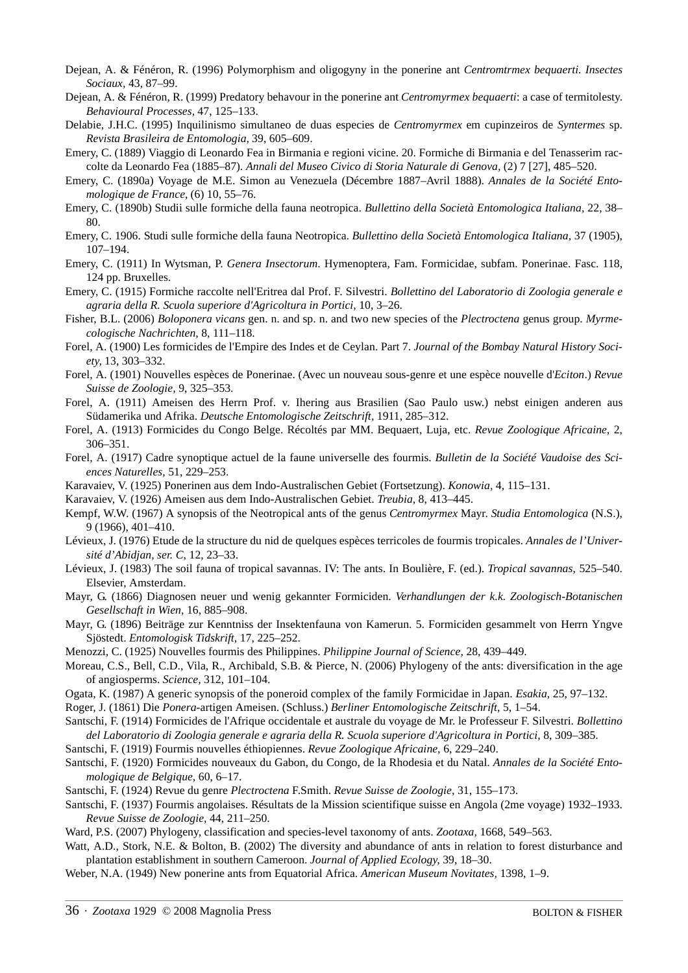- Dejean, A. & Fénéron, R. (1996) Polymorphism and oligogyny in the ponerine ant *Centromtrmex bequaerti. Insectes Sociaux,* 43, 87–99.
- Dejean, A. & Fénéron, R. (1999) Predatory behavour in the ponerine ant *Centromyrmex bequaerti*: a case of termitolesty. *Behavioural Processes,* 47, 125–133.
- Delabie, J.H.C. (1995) Inquilinismo simultaneo de duas especies de *Centromyrmex* em cupinzeiros de *Syntermes* sp. *Revista Brasileira de Entomologia,* 39, 605–609.
- Emery, C. (1889) Viaggio di Leonardo Fea in Birmania e regioni vicine. 20. Formiche di Birmania e del Tenasserim raccolte da Leonardo Fea (1885–87). *Annali del Museo Civico di Storia Naturale di Genova,* (2) 7 [27], 485–520.
- Emery, C. (1890a) Voyage de M.E. Simon au Venezuela (Décembre 1887–Avril 1888). *Annales de la Société Entomologique de France,* (6) 10, 55–76.
- Emery, C. (1890b) Studii sulle formiche della fauna neotropica. *Bullettino della Società Entomologica Italiana,* 22, 38– 80.
- Emery, C. 1906. Studi sulle formiche della fauna Neotropica. *Bullettino della Società Entomologica Italiana,* 37 (1905), 107–194.
- Emery, C. (1911) In Wytsman, P. *Genera Insectorum*. Hymenoptera, Fam. Formicidae, subfam. Ponerinae. Fasc. 118, 124 pp. Bruxelles.
- Emery, C. (1915) Formiche raccolte nell'Eritrea dal Prof. F. Silvestri. *Bollettino del Laboratorio di Zoologia generale e agraria della R. Scuola superiore d'Agricoltura in Portici,* 10, 3–26.
- Fisher, B.L. (2006) *Boloponera vicans* gen. n. and sp. n. and two new species of the *Plectroctena* genus group. *Myrmecologische Nachrichten,* 8, 111–118.
- Forel, A. (1900) Les formicides de l'Empire des Indes et de Ceylan. Part 7. *Journal of the Bombay Natural History Society,* 13, 303–332.
- Forel, A. (1901) Nouvelles espèces de Ponerinae. (Avec un nouveau sous-genre et une espèce nouvelle d'*Eciton*.) *Revue Suisse de Zoologie,* 9, 325–353.
- Forel, A. (1911) Ameisen des Herrn Prof. v. Ihering aus Brasilien (Sao Paulo usw.) nebst einigen anderen aus Südamerika und Afrika. *Deutsche Entomologische Zeitschrift,* 1911, 285–312.
- Forel, A. (1913) Formicides du Congo Belge. Récoltés par MM. Bequaert, Luja, etc. *Revue Zoologique Africaine,* 2, 306–351.
- Forel, A. (1917) Cadre synoptique actuel de la faune universelle des fourmis. *Bulletin de la Société Vaudoise des Sciences Naturelles,* 51, 229–253.
- Karavaiev, V. (1925) Ponerinen aus dem Indo-Australischen Gebiet (Fortsetzung). *Konowia,* 4, 115–131.
- Karavaiev, V. (1926) Ameisen aus dem Indo-Australischen Gebiet. *Treubia,* 8, 413–445.
- Kempf, W.W. (1967) A synopsis of the Neotropical ants of the genus *Centromyrmex* Mayr. *Studia Entomologica* (N.S.), 9 (1966), 401–410.
- Lévieux, J. (1976) Etude de la structure du nid de quelques espèces terricoles de fourmis tropicales. *Annales de l'Université d'Abidjan, ser. C*, 12, 23–33.
- Lévieux, J. (1983) The soil fauna of tropical savannas. IV: The ants. In Boulière, F. (ed.). *Tropical savannas*, 525–540. Elsevier, Amsterdam.
- Mayr, G. (1866) Diagnosen neuer und wenig gekannter Formiciden. *Verhandlungen der k.k. Zoologisch-Botanischen Gesellschaft in Wien,* 16, 885–908.
- Mayr, G. (1896) Beiträge zur Kenntniss der Insektenfauna von Kamerun. 5. Formiciden gesammelt von Herrn Yngve Sjöstedt. *Entomologisk Tidskrift,* 17, 225–252.
- Menozzi, C. (1925) Nouvelles fourmis des Philippines. *Philippine Journal of Science,* 28, 439–449.
- Moreau, C.S., Bell, C.D., Vila, R., Archibald, S.B. & Pierce, N. (2006) Phylogeny of the ants: diversification in the age of angiosperms. *Science,* 312, 101–104.
- Ogata, K. (1987) A generic synopsis of the poneroid complex of the family Formicidae in Japan. *Esakia,* 25, 97–132.
- Roger, J. (1861) Die *Ponera*-artigen Ameisen. (Schluss.) *Berliner Entomologische Zeitschrift,* 5, 1–54.
- Santschi, F. (1914) Formicides de l'Afrique occidentale et australe du voyage de Mr. le Professeur F. Silvestri. *Bollettino del Laboratorio di Zoologia generale e agraria della R. Scuola superiore d'Agricoltura in Portici,* 8, 309–385.
- Santschi, F. (1919) Fourmis nouvelles éthiopiennes. *Revue Zoologique Africaine,* 6, 229–240.
- Santschi, F. (1920) Formicides nouveaux du Gabon, du Congo, de la Rhodesia et du Natal. *Annales de la Société Entomologique de Belgique,* 60, 6–17.
- Santschi, F. (1924) Revue du genre *Plectroctena* F.Smith. *Revue Suisse de Zoologie,* 31, 155–173.
- Santschi, F. (1937) Fourmis angolaises. Résultats de la Mission scientifique suisse en Angola (2me voyage) 1932–1933. *Revue Suisse de Zoologie,* 44, 211–250.
- Ward, P.S. (2007) Phylogeny, classification and species-level taxonomy of ants. *Zootaxa,* 1668, 549–563.
- Watt, A.D., Stork, N.E. & Bolton, B. (2002) The diversity and abundance of ants in relation to forest disturbance and plantation establishment in southern Cameroon. *Journal of Applied Ecology,* 39, 18–30.
- Weber, N.A. (1949) New ponerine ants from Equatorial Africa. *American Museum Novitates,* 1398, 1–9.